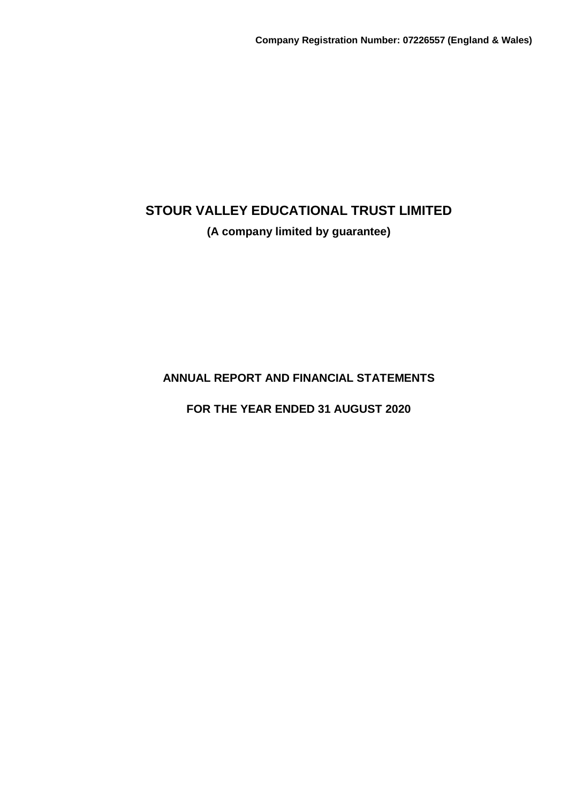## **(A company limited by guarantee)**

**ANNUAL REPORT AND FINANCIAL STATEMENTS**

**FOR THE YEAR ENDED 31 AUGUST 2020**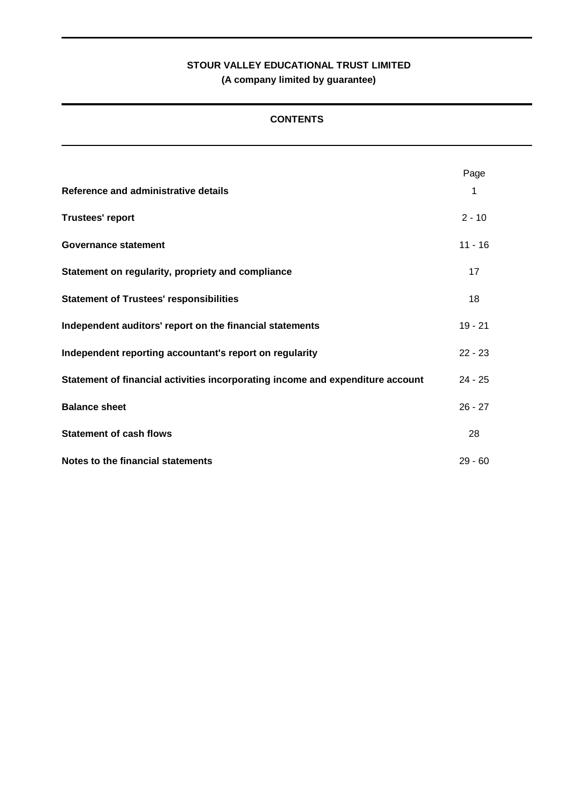## **CONTENTS**

|                                                                                | Page      |
|--------------------------------------------------------------------------------|-----------|
| Reference and administrative details                                           | 1         |
| <b>Trustees' report</b>                                                        | $2 - 10$  |
| Governance statement                                                           | $11 - 16$ |
| Statement on regularity, propriety and compliance                              | 17        |
| <b>Statement of Trustees' responsibilities</b>                                 | 18        |
| Independent auditors' report on the financial statements                       | $19 - 21$ |
| Independent reporting accountant's report on regularity                        | $22 - 23$ |
| Statement of financial activities incorporating income and expenditure account | $24 - 25$ |
| <b>Balance sheet</b>                                                           | $26 - 27$ |
| <b>Statement of cash flows</b>                                                 | 28        |
| Notes to the financial statements                                              | $29 - 60$ |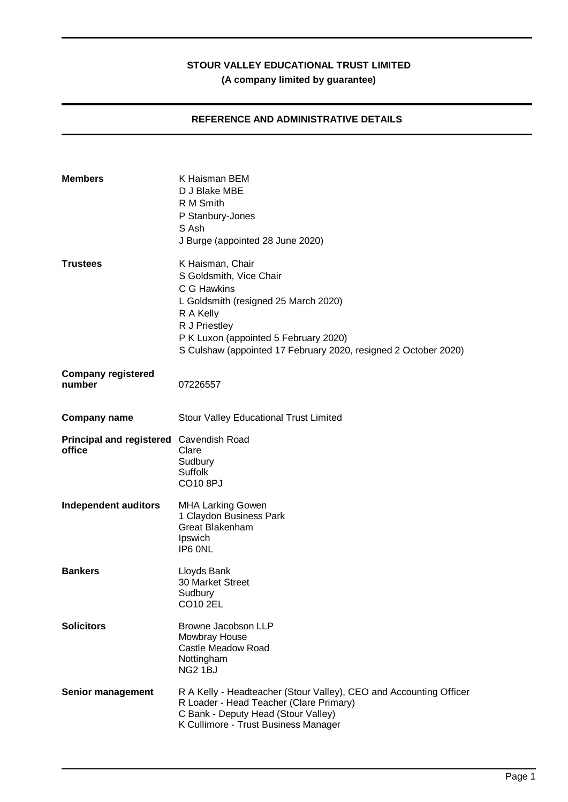## **REFERENCE AND ADMINISTRATIVE DETAILS**

| <b>Members</b>                                    | K Haisman BEM<br>D J Blake MBE<br>R M Smith<br>P Stanbury-Jones<br>S Ash<br>J Burge (appointed 28 June 2020)                                                                                                                                 |
|---------------------------------------------------|----------------------------------------------------------------------------------------------------------------------------------------------------------------------------------------------------------------------------------------------|
| <b>Trustees</b>                                   | K Haisman, Chair<br>S Goldsmith, Vice Chair<br>C G Hawkins<br>L Goldsmith (resigned 25 March 2020)<br>R A Kelly<br>R J Priestley<br>P K Luxon (appointed 5 February 2020)<br>S Culshaw (appointed 17 February 2020, resigned 2 October 2020) |
| <b>Company registered</b><br>number               | 07226557                                                                                                                                                                                                                                     |
| <b>Company name</b>                               | <b>Stour Valley Educational Trust Limited</b>                                                                                                                                                                                                |
| Principal and registered Cavendish Road<br>office | Clare<br>Sudbury<br><b>Suffolk</b><br>CO10 8PJ                                                                                                                                                                                               |
| <b>Independent auditors</b>                       | <b>MHA Larking Gowen</b><br>1 Claydon Business Park<br>Great Blakenham<br>Ipswich<br>IP6 ONL                                                                                                                                                 |
| <b>Bankers</b>                                    | Lloyds Bank<br>30 Market Street<br>Sudbury<br>CO10 2EL                                                                                                                                                                                       |
| <b>Solicitors</b>                                 | Browne Jacobson LLP<br>Mowbray House<br>Castle Meadow Road<br>Nottingham<br>NG <sub>2</sub> 1BJ                                                                                                                                              |
| Senior management                                 | R A Kelly - Headteacher (Stour Valley), CEO and Accounting Officer<br>R Loader - Head Teacher (Clare Primary)<br>C Bank - Deputy Head (Stour Valley)<br>K Cullimore - Trust Business Manager                                                 |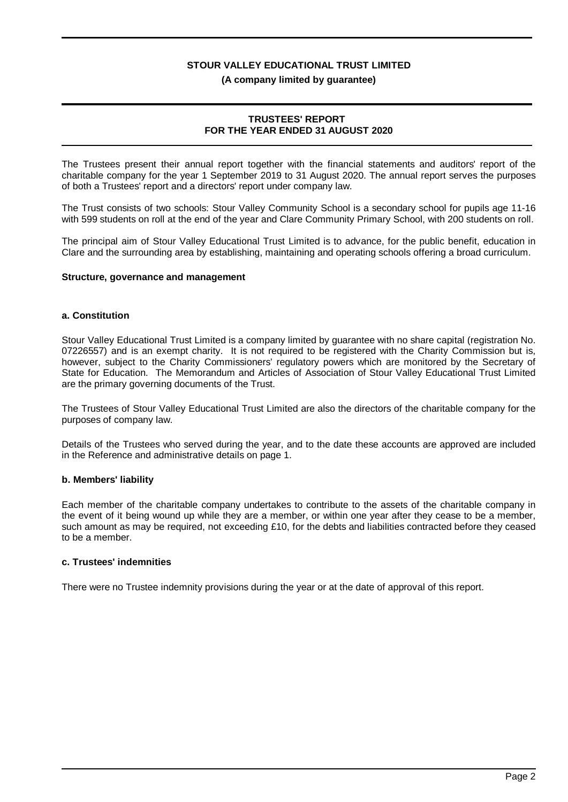### **(A company limited by guarantee)**

### **TRUSTEES' REPORT FOR THE YEAR ENDED 31 AUGUST 2020**

The Trustees present their annual report together with the financial statements and auditors' report of the charitable company for the year 1 September 2019 to 31 August 2020. The annual report serves the purposes of both a Trustees' report and a directors' report under company law.

The Trust consists of two schools: Stour Valley Community School is a secondary school for pupils age 11-16 with 599 students on roll at the end of the year and Clare Community Primary School, with 200 students on roll.

The principal aim of Stour Valley Educational Trust Limited is to advance, for the public benefit, education in Clare and the surrounding area by establishing, maintaining and operating schools offering a broad curriculum.

### **Structure, governance and management**

### **a. Constitution**

Stour Valley Educational Trust Limited is a company limited by guarantee with no share capital (registration No. 07226557) and is an exempt charity. It is not required to be registered with the Charity Commission but is, however, subject to the Charity Commissioners' regulatory powers which are monitored by the Secretary of State for Education. The Memorandum and Articles of Association of Stour Valley Educational Trust Limited are the primary governing documents of the Trust.

The Trustees of Stour Valley Educational Trust Limited are also the directors of the charitable company for the purposes of company law.

Details of the Trustees who served during the year, and to the date these accounts are approved are included in the Reference and administrative details on page 1.

#### **b. Members' liability**

Each member of the charitable company undertakes to contribute to the assets of the charitable company in the event of it being wound up while they are a member, or within one year after they cease to be a member, such amount as may be required, not exceeding £10, for the debts and liabilities contracted before they ceased to be a member.

### **c. Trustees' indemnities**

There were no Trustee indemnity provisions during the year or at the date of approval of this report.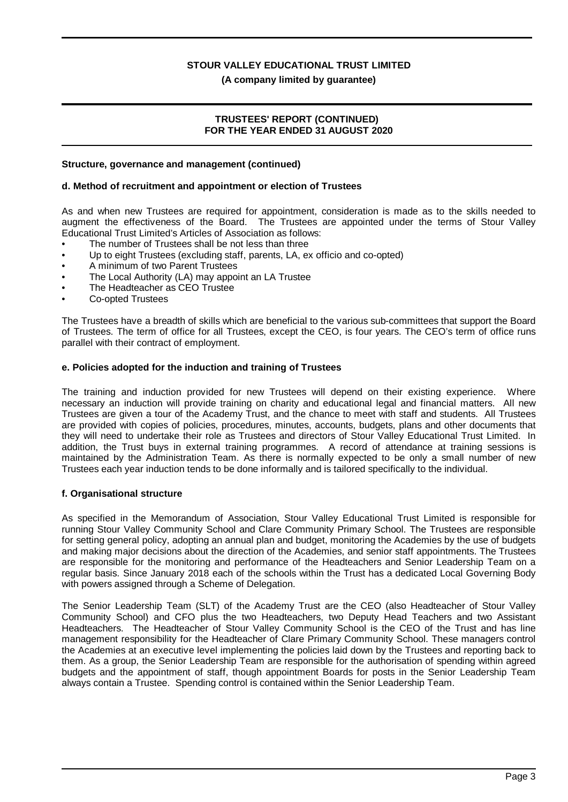**(A company limited by guarantee)**

### **TRUSTEES' REPORT (CONTINUED) FOR THE YEAR ENDED 31 AUGUST 2020**

### **Structure, governance and management (continued)**

### **d. Method of recruitment and appointment or election of Trustees**

As and when new Trustees are required for appointment, consideration is made as to the skills needed to augment the effectiveness of the Board. The Trustees are appointed under the terms of Stour Valley Educational Trust Limited's Articles of Association as follows:

- The number of Trustees shall be not less than three
- Up to eight Trustees (excluding staff, parents, LA, ex officio and co-opted)
- A minimum of two Parent Trustees
- The Local Authority (LA) may appoint an LA Trustee
- The Headteacher as CEO Trustee
- Co-opted Trustees

The Trustees have a breadth of skills which are beneficial to the various sub-committees that support the Board of Trustees. The term of office for all Trustees, except the CEO, is four years. The CEO's term of office runs parallel with their contract of employment.

### **e. Policies adopted for the induction and training of Trustees**

The training and induction provided for new Trustees will depend on their existing experience. Where necessary an induction will provide training on charity and educational legal and financial matters. All new Trustees are given a tour of the Academy Trust, and the chance to meet with staff and students. All Trustees are provided with copies of policies, procedures, minutes, accounts, budgets, plans and other documents that they will need to undertake their role as Trustees and directors of Stour Valley Educational Trust Limited. In addition, the Trust buys in external training programmes. A record of attendance at training sessions is maintained by the Administration Team. As there is normally expected to be only a small number of new Trustees each year induction tends to be done informally and is tailored specifically to the individual.

### **f. Organisational structure**

As specified in the Memorandum of Association, Stour Valley Educational Trust Limited is responsible for running Stour Valley Community School and Clare Community Primary School. The Trustees are responsible for setting general policy, adopting an annual plan and budget, monitoring the Academies by the use of budgets and making major decisions about the direction of the Academies, and senior staff appointments. The Trustees are responsible for the monitoring and performance of the Headteachers and Senior Leadership Team on a regular basis. Since January 2018 each of the schools within the Trust has a dedicated Local Governing Body with powers assigned through a Scheme of Delegation.

The Senior Leadership Team (SLT) of the Academy Trust are the CEO (also Headteacher of Stour Valley Community School) and CFO plus the two Headteachers, two Deputy Head Teachers and two Assistant Headteachers. The Headteacher of Stour Valley Community School is the CEO of the Trust and has line management responsibility for the Headteacher of Clare Primary Community School. These managers control the Academies at an executive level implementing the policies laid down by the Trustees and reporting back to them. As a group, the Senior Leadership Team are responsible for the authorisation of spending within agreed budgets and the appointment of staff, though appointment Boards for posts in the Senior Leadership Team always contain a Trustee. Spending control is contained within the Senior Leadership Team.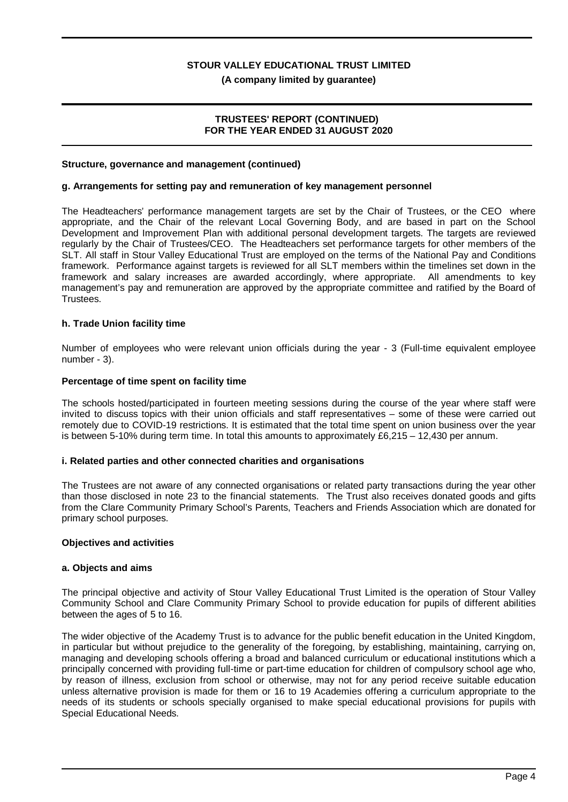### **(A company limited by guarantee)**

### **TRUSTEES' REPORT (CONTINUED) FOR THE YEAR ENDED 31 AUGUST 2020**

### **Structure, governance and management (continued)**

### **g. Arrangements for setting pay and remuneration of key management personnel**

The Headteachers' performance management targets are set by the Chair of Trustees, or the CEO where appropriate, and the Chair of the relevant Local Governing Body, and are based in part on the School Development and Improvement Plan with additional personal development targets. The targets are reviewed regularly by the Chair of Trustees/CEO. The Headteachers set performance targets for other members of the SLT. All staff in Stour Valley Educational Trust are employed on the terms of the National Pay and Conditions framework. Performance against targets is reviewed for all SLT members within the timelines set down in the framework and salary increases are awarded accordingly, where appropriate. All amendments to key management's pay and remuneration are approved by the appropriate committee and ratified by the Board of Trustees.

### **h. Trade Union facility time**

Number of employees who were relevant union officials during the year - 3 (Full-time equivalent employee number - 3).

### **Percentage of time spent on facility time**

The schools hosted/participated in fourteen meeting sessions during the course of the year where staff were invited to discuss topics with their union officials and staff representatives – some of these were carried out remotely due to COVID-19 restrictions. It is estimated that the total time spent on union business over the year is between 5-10% during term time. In total this amounts to approximately £6,215 – 12,430 per annum.

#### **i. Related parties and other connected charities and organisations**

The Trustees are not aware of any connected organisations or related party transactions during the year other than those disclosed in note 23 to the financial statements. The Trust also receives donated goods and gifts from the Clare Community Primary School's Parents, Teachers and Friends Association which are donated for primary school purposes.

#### **Objectives and activities**

#### **a. Objects and aims**

The principal objective and activity of Stour Valley Educational Trust Limited is the operation of Stour Valley Community School and Clare Community Primary School to provide education for pupils of different abilities between the ages of 5 to 16.

The wider objective of the Academy Trust is to advance for the public benefit education in the United Kingdom, in particular but without prejudice to the generality of the foregoing, by establishing, maintaining, carrying on, managing and developing schools offering a broad and balanced curriculum or educational institutions which a principally concerned with providing full-time or part-time education for children of compulsory school age who, by reason of illness, exclusion from school or otherwise, may not for any period receive suitable education unless alternative provision is made for them or 16 to 19 Academies offering a curriculum appropriate to the needs of its students or schools specially organised to make special educational provisions for pupils with Special Educational Needs.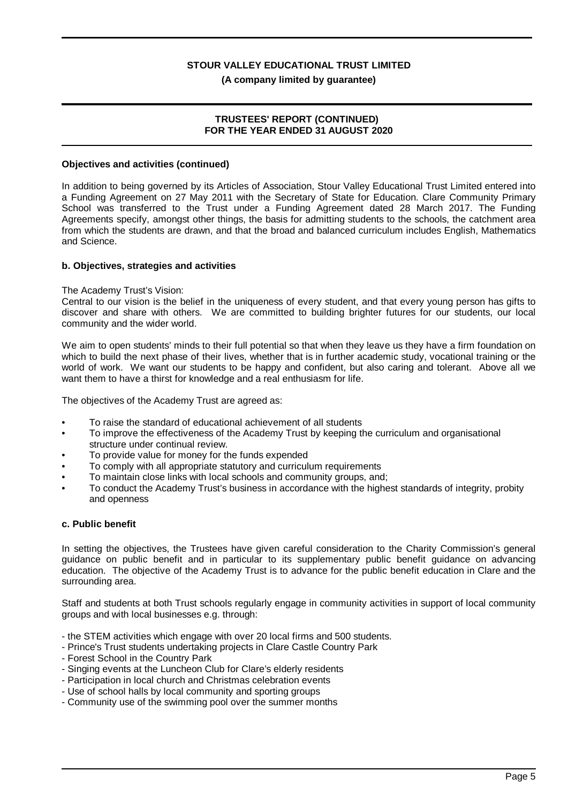### **(A company limited by guarantee)**

### **TRUSTEES' REPORT (CONTINUED) FOR THE YEAR ENDED 31 AUGUST 2020**

### **Objectives and activities (continued)**

In addition to being governed by its Articles of Association, Stour Valley Educational Trust Limited entered into a Funding Agreement on 27 May 2011 with the Secretary of State for Education. Clare Community Primary School was transferred to the Trust under a Funding Agreement dated 28 March 2017. The Funding Agreements specify, amongst other things, the basis for admitting students to the schools, the catchment area from which the students are drawn, and that the broad and balanced curriculum includes English, Mathematics and Science.

### **b. Objectives, strategies and activities**

#### The Academy Trust's Vision:

Central to our vision is the belief in the uniqueness of every student, and that every young person has gifts to discover and share with others. We are committed to building brighter futures for our students, our local community and the wider world.

We aim to open students' minds to their full potential so that when they leave us they have a firm foundation on which to build the next phase of their lives, whether that is in further academic study, vocational training or the world of work. We want our students to be happy and confident, but also caring and tolerant. Above all we want them to have a thirst for knowledge and a real enthusiasm for life.

The objectives of the Academy Trust are agreed as:

- To raise the standard of educational achievement of all students
- To improve the effectiveness of the Academy Trust by keeping the curriculum and organisational structure under continual review.
- To provide value for money for the funds expended
- To comply with all appropriate statutory and curriculum requirements
- To maintain close links with local schools and community groups, and;
- To conduct the Academy Trust's business in accordance with the highest standards of integrity, probity and openness

#### **c. Public benefit**

In setting the objectives, the Trustees have given careful consideration to the Charity Commission's general guidance on public benefit and in particular to its supplementary public benefit guidance on advancing education. The objective of the Academy Trust is to advance for the public benefit education in Clare and the surrounding area.

Staff and students at both Trust schools regularly engage in community activities in support of local community groups and with local businesses e.g. through:

- the STEM activities which engage with over 20 local firms and 500 students.
- Prince's Trust students undertaking projects in Clare Castle Country Park
- Forest School in the Country Park
- Singing events at the Luncheon Club for Clare's elderly residents
- Participation in local church and Christmas celebration events
- Use of school halls by local community and sporting groups
- Community use of the swimming pool over the summer months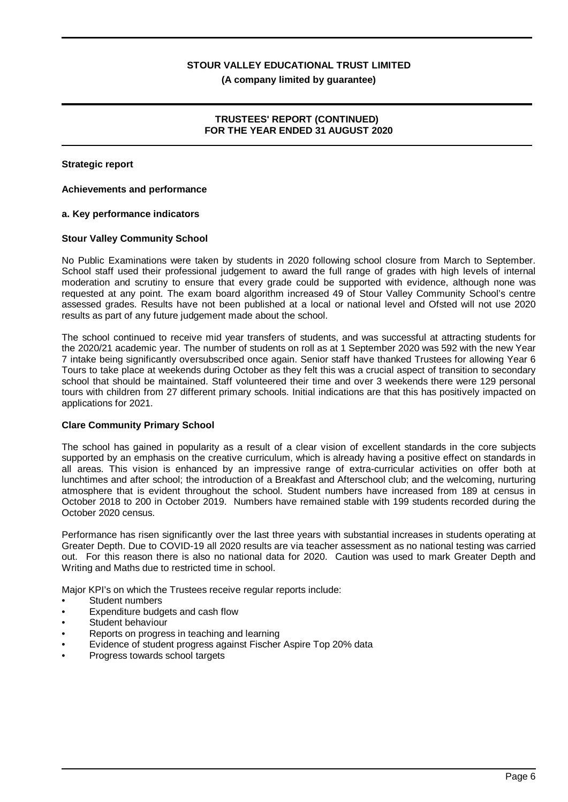**(A company limited by guarantee)**

### **TRUSTEES' REPORT (CONTINUED) FOR THE YEAR ENDED 31 AUGUST 2020**

### **Strategic report**

### **Achievements and performance**

### **a. Key performance indicators**

### **Stour Valley Community School**

No Public Examinations were taken by students in 2020 following school closure from March to September. School staff used their professional judgement to award the full range of grades with high levels of internal moderation and scrutiny to ensure that every grade could be supported with evidence, although none was requested at any point. The exam board algorithm increased 49 of Stour Valley Community School's centre assessed grades. Results have not been published at a local or national level and Ofsted will not use 2020 results as part of any future judgement made about the school.

The school continued to receive mid year transfers of students, and was successful at attracting students for the 2020/21 academic year. The number of students on roll as at 1 September 2020 was 592 with the new Year 7 intake being significantly oversubscribed once again. Senior staff have thanked Trustees for allowing Year 6 Tours to take place at weekends during October as they felt this was a crucial aspect of transition to secondary school that should be maintained. Staff volunteered their time and over 3 weekends there were 129 personal tours with children from 27 different primary schools. Initial indications are that this has positively impacted on applications for 2021.

### **Clare Community Primary School**

The school has gained in popularity as a result of a clear vision of excellent standards in the core subjects supported by an emphasis on the creative curriculum, which is already having a positive effect on standards in all areas. This vision is enhanced by an impressive range of extra-curricular activities on offer both at lunchtimes and after school; the introduction of a Breakfast and Afterschool club; and the welcoming, nurturing atmosphere that is evident throughout the school. Student numbers have increased from 189 at census in October 2018 to 200 in October 2019. Numbers have remained stable with 199 students recorded during the October 2020 census.

Performance has risen significantly over the last three years with substantial increases in students operating at Greater Depth. Due to COVID-19 all 2020 results are via teacher assessment as no national testing was carried out. For this reason there is also no national data for 2020. Caution was used to mark Greater Depth and Writing and Maths due to restricted time in school.

Major KPI's on which the Trustees receive regular reports include:

- Student numbers
- Expenditure budgets and cash flow
- Student behaviour
- Reports on progress in teaching and learning
- Evidence of student progress against Fischer Aspire Top 20% data
- Progress towards school targets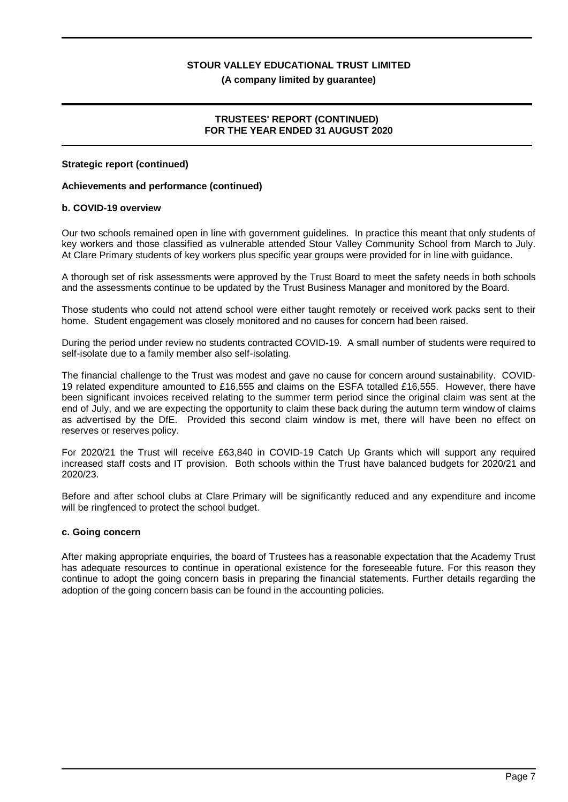### **(A company limited by guarantee)**

### **TRUSTEES' REPORT (CONTINUED) FOR THE YEAR ENDED 31 AUGUST 2020**

### **Strategic report (continued)**

### **Achievements and performance (continued)**

### **b. COVID-19 overview**

Our two schools remained open in line with government guidelines. In practice this meant that only students of key workers and those classified as vulnerable attended Stour Valley Community School from March to July. At Clare Primary students of key workers plus specific year groups were provided for in line with guidance.

A thorough set of risk assessments were approved by the Trust Board to meet the safety needs in both schools and the assessments continue to be updated by the Trust Business Manager and monitored by the Board.

Those students who could not attend school were either taught remotely or received work packs sent to their home. Student engagement was closely monitored and no causes for concern had been raised.

During the period under review no students contracted COVID-19. A small number of students were required to self-isolate due to a family member also self-isolating.

The financial challenge to the Trust was modest and gave no cause for concern around sustainability. COVID-19 related expenditure amounted to £16,555 and claims on the ESFA totalled £16,555. However, there have been significant invoices received relating to the summer term period since the original claim was sent at the end of July, and we are expecting the opportunity to claim these back during the autumn term window of claims as advertised by the DfE. Provided this second claim window is met, there will have been no effect on reserves or reserves policy.

For 2020/21 the Trust will receive £63,840 in COVID-19 Catch Up Grants which will support any required increased staff costs and IT provision. Both schools within the Trust have balanced budgets for 2020/21 and 2020/23.

Before and after school clubs at Clare Primary will be significantly reduced and any expenditure and income will be ringfenced to protect the school budget.

### **c. Going concern**

After making appropriate enquiries, the board of Trustees has a reasonable expectation that the Academy Trust has adequate resources to continue in operational existence for the foreseeable future. For this reason they continue to adopt the going concern basis in preparing the financial statements. Further details regarding the adoption of the going concern basis can be found in the accounting policies.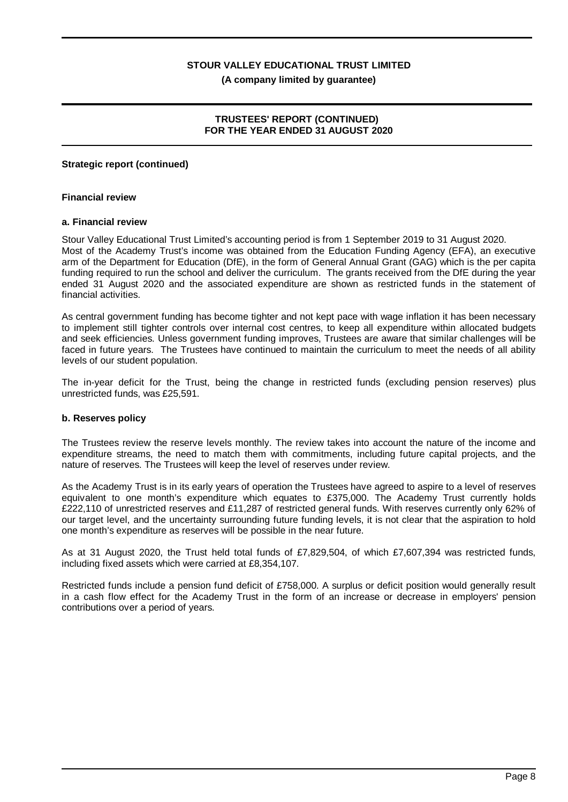**(A company limited by guarantee)**

### **TRUSTEES' REPORT (CONTINUED) FOR THE YEAR ENDED 31 AUGUST 2020**

### **Strategic report (continued)**

### **Financial review**

### **a. Financial review**

Stour Valley Educational Trust Limited's accounting period is from 1 September 2019 to 31 August 2020. Most of the Academy Trust's income was obtained from the Education Funding Agency (EFA), an executive arm of the Department for Education (DfE), in the form of General Annual Grant (GAG) which is the per capita funding required to run the school and deliver the curriculum. The grants received from the DfE during the year ended 31 August 2020 and the associated expenditure are shown as restricted funds in the statement of financial activities.

As central government funding has become tighter and not kept pace with wage inflation it has been necessary to implement still tighter controls over internal cost centres, to keep all expenditure within allocated budgets and seek efficiencies. Unless government funding improves, Trustees are aware that similar challenges will be faced in future years. The Trustees have continued to maintain the curriculum to meet the needs of all ability levels of our student population.

The in-year deficit for the Trust, being the change in restricted funds (excluding pension reserves) plus unrestricted funds, was £25,591.

### **b. Reserves policy**

The Trustees review the reserve levels monthly. The review takes into account the nature of the income and expenditure streams, the need to match them with commitments, including future capital projects, and the nature of reserves. The Trustees will keep the level of reserves under review.

As the Academy Trust is in its early years of operation the Trustees have agreed to aspire to a level of reserves equivalent to one month's expenditure which equates to £375,000. The Academy Trust currently holds £222,110 of unrestricted reserves and £11,287 of restricted general funds. With reserves currently only 62% of our target level, and the uncertainty surrounding future funding levels, it is not clear that the aspiration to hold one month's expenditure as reserves will be possible in the near future.

As at 31 August 2020, the Trust held total funds of £7,829,504, of which £7,607,394 was restricted funds, including fixed assets which were carried at £8,354,107.

Restricted funds include a pension fund deficit of £758,000. A surplus or deficit position would generally result in a cash flow effect for the Academy Trust in the form of an increase or decrease in employers' pension contributions over a period of years.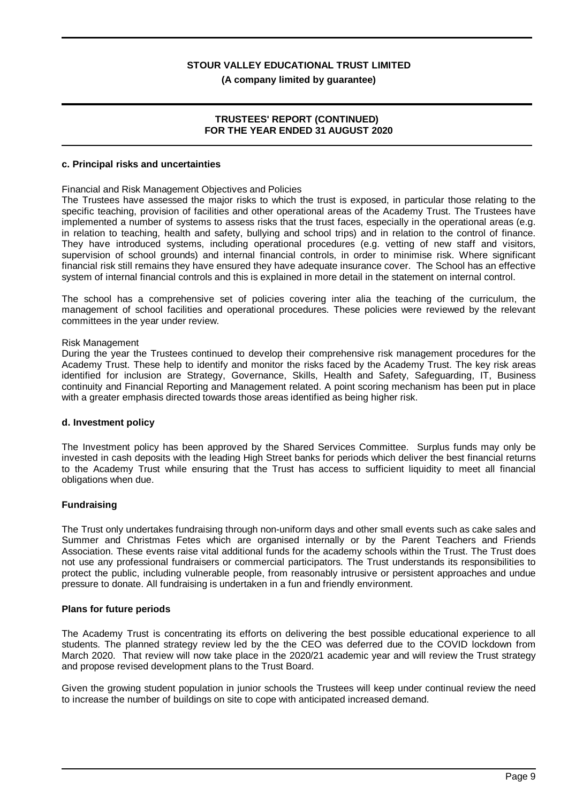### **(A company limited by guarantee)**

### **TRUSTEES' REPORT (CONTINUED) FOR THE YEAR ENDED 31 AUGUST 2020**

#### **c. Principal risks and uncertainties**

### Financial and Risk Management Objectives and Policies

The Trustees have assessed the major risks to which the trust is exposed, in particular those relating to the specific teaching, provision of facilities and other operational areas of the Academy Trust. The Trustees have implemented a number of systems to assess risks that the trust faces, especially in the operational areas (e.g. in relation to teaching, health and safety, bullying and school trips) and in relation to the control of finance. They have introduced systems, including operational procedures (e.g. vetting of new staff and visitors, supervision of school grounds) and internal financial controls, in order to minimise risk. Where significant financial risk still remains they have ensured they have adequate insurance cover. The School has an effective system of internal financial controls and this is explained in more detail in the statement on internal control.

The school has a comprehensive set of policies covering inter alia the teaching of the curriculum, the management of school facilities and operational procedures. These policies were reviewed by the relevant committees in the year under review.

### Risk Management

During the year the Trustees continued to develop their comprehensive risk management procedures for the Academy Trust. These help to identify and monitor the risks faced by the Academy Trust. The key risk areas identified for inclusion are Strategy, Governance, Skills, Health and Safety, Safeguarding, IT, Business continuity and Financial Reporting and Management related. A point scoring mechanism has been put in place with a greater emphasis directed towards those areas identified as being higher risk.

#### **d. Investment policy**

The Investment policy has been approved by the Shared Services Committee. Surplus funds may only be invested in cash deposits with the leading High Street banks for periods which deliver the best financial returns to the Academy Trust while ensuring that the Trust has access to sufficient liquidity to meet all financial obligations when due.

### **Fundraising**

The Trust only undertakes fundraising through non-uniform days and other small events such as cake sales and Summer and Christmas Fetes which are organised internally or by the Parent Teachers and Friends Association. These events raise vital additional funds for the academy schools within the Trust. The Trust does not use any professional fundraisers or commercial participators. The Trust understands its responsibilities to protect the public, including vulnerable people, from reasonably intrusive or persistent approaches and undue pressure to donate. All fundraising is undertaken in a fun and friendly environment.

#### **Plans for future periods**

The Academy Trust is concentrating its efforts on delivering the best possible educational experience to all students. The planned strategy review led by the the CEO was deferred due to the COVID lockdown from March 2020. That review will now take place in the 2020/21 academic year and will review the Trust strategy and propose revised development plans to the Trust Board.

Given the growing student population in junior schools the Trustees will keep under continual review the need to increase the number of buildings on site to cope with anticipated increased demand.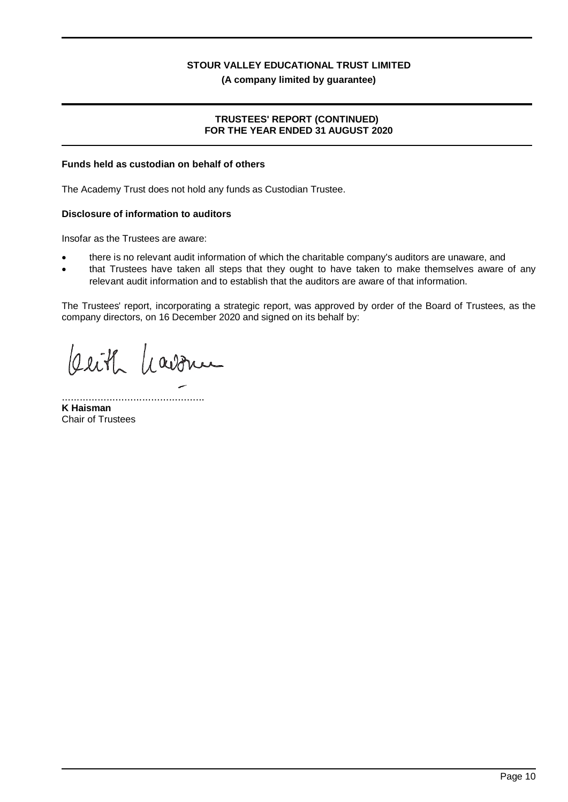**(A company limited by guarantee)**

### **TRUSTEES' REPORT (CONTINUED) FOR THE YEAR ENDED 31 AUGUST 2020**

### **Funds held as custodian on behalf of others**

The Academy Trust does not hold any funds as Custodian Trustee.

### **Disclosure of information to auditors**

Insofar as the Trustees are aware:

- there is no relevant audit information of which the charitable company's auditors are unaware, and
- that Trustees have taken all steps that they ought to have taken to make themselves aware of any relevant audit information and to establish that the auditors are aware of that information.

The Trustees' report, incorporating a strategic report, was approved by order of the Board of Trustees, as the company directors, on 16 December 2020 and signed on its behalf by:

Cerith havonu

................................................ **K Haisman** Chair of Trustees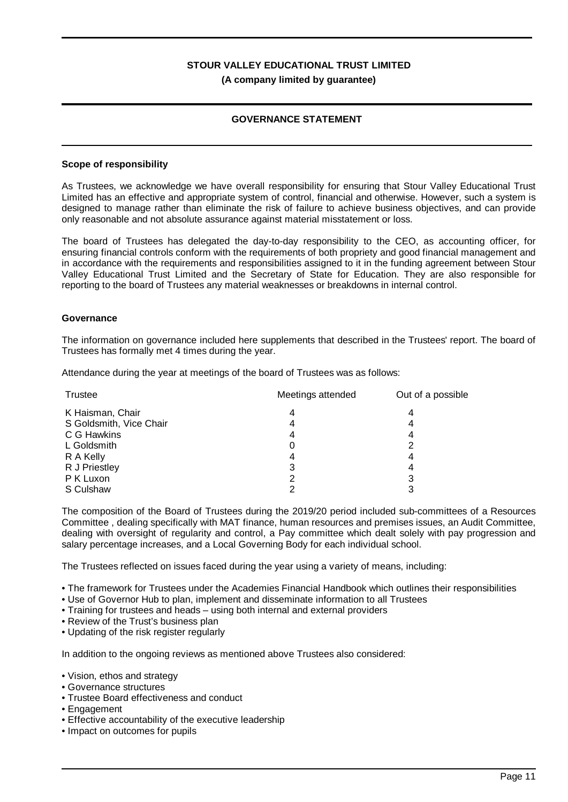### **GOVERNANCE STATEMENT**

### **Scope of responsibility**

As Trustees, we acknowledge we have overall responsibility for ensuring that Stour Valley Educational Trust Limited has an effective and appropriate system of control, financial and otherwise. However, such a system is designed to manage rather than eliminate the risk of failure to achieve business objectives, and can provide only reasonable and not absolute assurance against material misstatement or loss.

The board of Trustees has delegated the day-to-day responsibility to the CEO, as accounting officer, for ensuring financial controls conform with the requirements of both propriety and good financial management and in accordance with the requirements and responsibilities assigned to it in the funding agreement between Stour Valley Educational Trust Limited and the Secretary of State for Education. They are also responsible for reporting to the board of Trustees any material weaknesses or breakdowns in internal control.

### **Governance**

The information on governance included here supplements that described in the Trustees' report. The board of Trustees has formally met 4 times during the year.

Attendance during the year at meetings of the board of Trustees was as follows:

| Trustee                 | Meetings attended | Out of a possible |  |
|-------------------------|-------------------|-------------------|--|
| K Haisman, Chair        | 4                 | 4                 |  |
| S Goldsmith, Vice Chair | 4                 | 4                 |  |
| C G Hawkins             | 4                 | 4                 |  |
| L Goldsmith             | 0                 | 2                 |  |
| R A Kelly               | 4                 | 4                 |  |
| R J Priestley           | 3                 | 4                 |  |
| P K Luxon               | 2                 | 3                 |  |
| S Culshaw               | າ                 | 3                 |  |

The composition of the Board of Trustees during the 2019/20 period included sub-committees of a Resources Committee , dealing specifically with MAT finance, human resources and premises issues, an Audit Committee, dealing with oversight of regularity and control, a Pay committee which dealt solely with pay progression and salary percentage increases, and a Local Governing Body for each individual school.

The Trustees reflected on issues faced during the year using a variety of means, including:

• The framework for Trustees under the Academies Financial Handbook which outlines their responsibilities

- Use of Governor Hub to plan, implement and disseminate information to all Trustees
- Training for trustees and heads using both internal and external providers
- Review of the Trust's business plan
- Updating of the risk register regularly

In addition to the ongoing reviews as mentioned above Trustees also considered:

- Vision, ethos and strategy
- Governance structures
- Trustee Board effectiveness and conduct
- Engagement
- Effective accountability of the executive leadership
- Impact on outcomes for pupils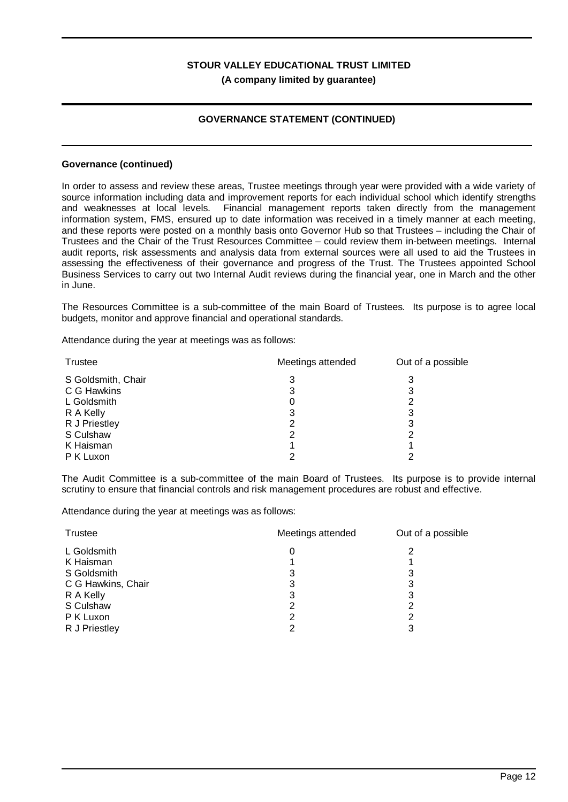### **GOVERNANCE STATEMENT (CONTINUED)**

### **Governance (continued)**

In order to assess and review these areas, Trustee meetings through year were provided with a wide variety of source information including data and improvement reports for each individual school which identify strengths and weaknesses at local levels. Financial management reports taken directly from the management information system, FMS, ensured up to date information was received in a timely manner at each meeting, and these reports were posted on a monthly basis onto Governor Hub so that Trustees – including the Chair of Trustees and the Chair of the Trust Resources Committee – could review them in-between meetings. Internal audit reports, risk assessments and analysis data from external sources were all used to aid the Trustees in assessing the effectiveness of their governance and progress of the Trust. The Trustees appointed School Business Services to carry out two Internal Audit reviews during the financial year, one in March and the other in June.

The Resources Committee is a sub-committee of the main Board of Trustees. Its purpose is to agree local budgets, monitor and approve financial and operational standards.

Attendance during the year at meetings was as follows:

| Trustee            | Meetings attended | Out of a possible |  |
|--------------------|-------------------|-------------------|--|
| S Goldsmith, Chair | 3                 | 3                 |  |
| C G Hawkins        | 3                 | 3                 |  |
| L Goldsmith        | 0                 |                   |  |
| R A Kelly          | 3                 | 3                 |  |
| R J Priestley      | 2                 | 3                 |  |
| S Culshaw          | າ                 |                   |  |
| K Haisman          |                   |                   |  |
| P K Luxon          | っ                 | ◠                 |  |

The Audit Committee is a sub-committee of the main Board of Trustees. Its purpose is to provide internal scrutiny to ensure that financial controls and risk management procedures are robust and effective.

Attendance during the year at meetings was as follows:

| <b>Trustee</b>     | Meetings attended | Out of a possible |  |
|--------------------|-------------------|-------------------|--|
| L Goldsmith        | 0                 | 2                 |  |
| K Haisman          |                   |                   |  |
| S Goldsmith        | 3                 | 3                 |  |
| C G Hawkins, Chair | 3                 | 3                 |  |
| R A Kelly          | 3                 | 3                 |  |
| S Culshaw          | 2                 | 2                 |  |
| P K Luxon          | 2                 | 2                 |  |
| R J Priestley      | 2                 | 3                 |  |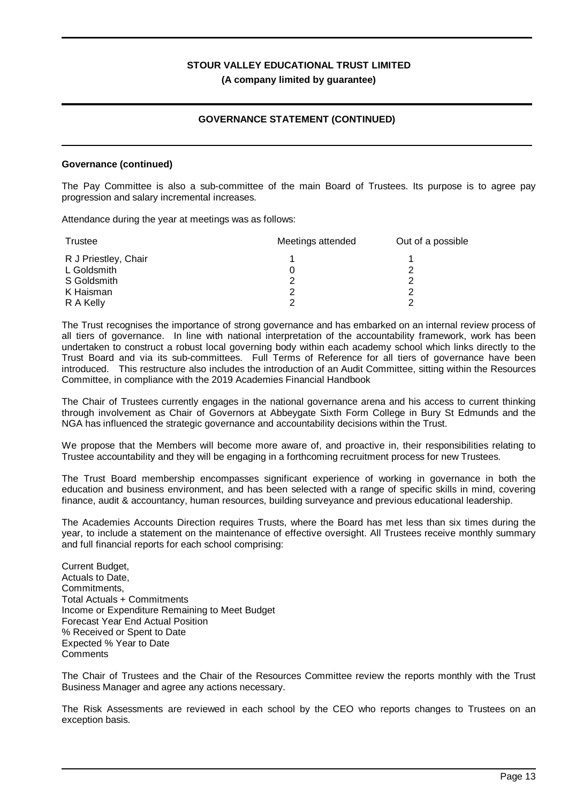### **GOVERNANCE STATEMENT (CONTINUED)**

### **Governance (continued)**

The Pay Committee is also a sub-committee of the main Board of Trustees. Its purpose is to agree pay progression and salary incremental increases.

Attendance during the year at meetings was as follows:

| Trustee              | Meetings attended | Out of a possible |  |
|----------------------|-------------------|-------------------|--|
| R J Priestley, Chair |                   |                   |  |
| L Goldsmith          |                   |                   |  |
| S Goldsmith          |                   |                   |  |
| K Haisman            | ႒                 |                   |  |
| R A Kelly            | ◠                 |                   |  |

The Trust recognises the importance of strong governance and has embarked on an internal review process of all tiers of governance. In line with national interpretation of the accountability framework, work has been undertaken to construct a robust local governing body within each academy school which links directly to the Trust Board and via its sub-committees. Full Terms of Reference for all tiers of governance have been introduced. This restructure also includes the introduction of an Audit Committee, sitting within the Resources Committee, in compliance with the 2019 Academies Financial Handbook

The Chair of Trustees currently engages in the national governance arena and his access to current thinking through involvement as Chair of Governors at Abbeygate Sixth Form College in Bury St Edmunds and the NGA has influenced the strategic governance and accountability decisions within the Trust.

We propose that the Members will become more aware of, and proactive in, their responsibilities relating to Trustee accountability and they will be engaging in a forthcoming recruitment process for new Trustees.

The Trust Board membership encompasses significant experience of working in governance in both the education and business environment, and has been selected with a range of specific skills in mind, covering finance, audit & accountancy, human resources, building surveyance and previous educational leadership.

The Academies Accounts Direction requires Trusts, where the Board has met less than six times during the year, to include a statement on the maintenance of effective oversight. All Trustees receive monthly summary and full financial reports for each school comprising:

Current Budget, Actuals to Date, Commitments, Total Actuals + Commitments Income or Expenditure Remaining to Meet Budget Forecast Year End Actual Position % Received or Spent to Date Expected % Year to Date **Comments** 

The Chair of Trustees and the Chair of the Resources Committee review the reports monthly with the Trust Business Manager and agree any actions necessary.

The Risk Assessments are reviewed in each school by the CEO who reports changes to Trustees on an exception basis.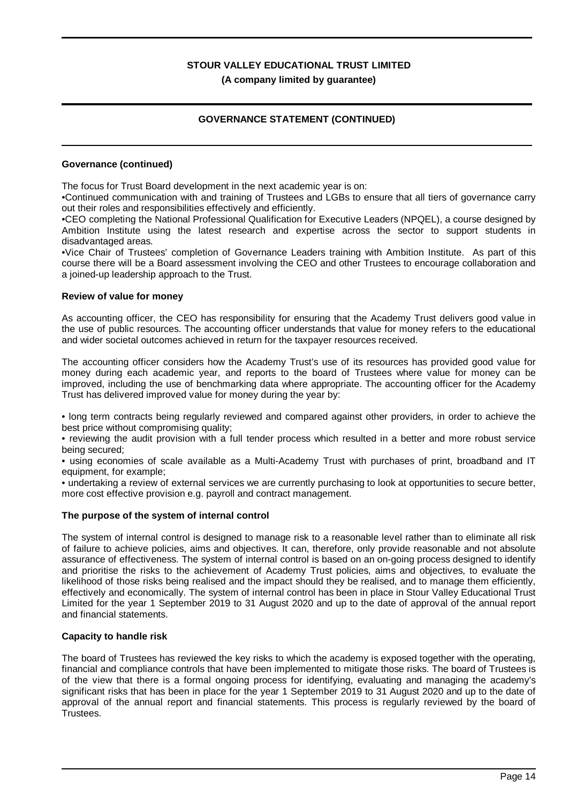## **GOVERNANCE STATEMENT (CONTINUED)**

### **Governance (continued)**

The focus for Trust Board development in the next academic year is on:

•Continued communication with and training of Trustees and LGBs to ensure that all tiers of governance carry out their roles and responsibilities effectively and efficiently.

•CEO completing the National Professional Qualification for Executive Leaders (NPQEL), a course designed by Ambition Institute using the latest research and expertise across the sector to support students in disadvantaged areas.

•Vice Chair of Trustees' completion of Governance Leaders training with Ambition Institute. As part of this course there will be a Board assessment involving the CEO and other Trustees to encourage collaboration and a joined-up leadership approach to the Trust.

### **Review of value for money**

As accounting officer, the CEO has responsibility for ensuring that the Academy Trust delivers good value in the use of public resources. The accounting officer understands that value for money refers to the educational and wider societal outcomes achieved in return for the taxpayer resources received.

The accounting officer considers how the Academy Trust's use of its resources has provided good value for money during each academic year, and reports to the board of Trustees where value for money can be improved, including the use of benchmarking data where appropriate. The accounting officer for the Academy Trust has delivered improved value for money during the year by:

• long term contracts being regularly reviewed and compared against other providers, in order to achieve the best price without compromising quality;

• reviewing the audit provision with a full tender process which resulted in a better and more robust service being secured;

• using economies of scale available as a Multi-Academy Trust with purchases of print, broadband and IT equipment, for example;

• undertaking a review of external services we are currently purchasing to look at opportunities to secure better, more cost effective provision e.g. payroll and contract management.

### **The purpose of the system of internal control**

The system of internal control is designed to manage risk to a reasonable level rather than to eliminate all risk of failure to achieve policies, aims and objectives. It can, therefore, only provide reasonable and not absolute assurance of effectiveness. The system of internal control is based on an on-going process designed to identify and prioritise the risks to the achievement of Academy Trust policies, aims and objectives, to evaluate the likelihood of those risks being realised and the impact should they be realised, and to manage them efficiently, effectively and economically. The system of internal control has been in place in Stour Valley Educational Trust Limited for the year 1 September 2019 to 31 August 2020 and up to the date of approval of the annual report and financial statements.

### **Capacity to handle risk**

The board of Trustees has reviewed the key risks to which the academy is exposed together with the operating, financial and compliance controls that have been implemented to mitigate those risks. The board of Trustees is of the view that there is a formal ongoing process for identifying, evaluating and managing the academy's significant risks that has been in place for the year 1 September 2019 to 31 August 2020 and up to the date of approval of the annual report and financial statements. This process is regularly reviewed by the board of Trustees.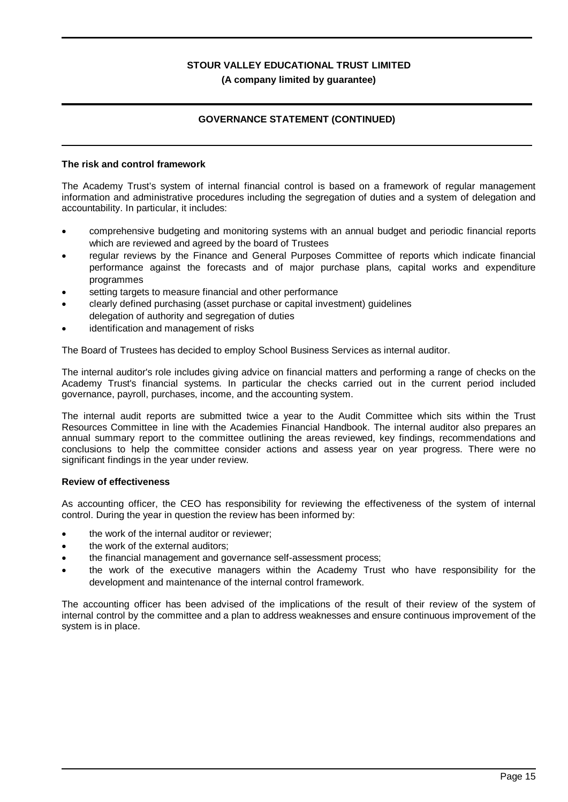## **GOVERNANCE STATEMENT (CONTINUED)**

### **The risk and control framework**

The Academy Trust's system of internal financial control is based on a framework of regular management information and administrative procedures including the segregation of duties and a system of delegation and accountability. In particular, it includes:

- · comprehensive budgeting and monitoring systems with an annual budget and periodic financial reports which are reviewed and agreed by the board of Trustees
- regular reviews by the Finance and General Purposes Committee of reports which indicate financial performance against the forecasts and of major purchase plans, capital works and expenditure programmes
- setting targets to measure financial and other performance
- · clearly defined purchasing (asset purchase or capital investment) guidelines delegation of authority and segregation of duties
- identification and management of risks

The Board of Trustees has decided to employ School Business Services as internal auditor.

The internal auditor's role includes giving advice on financial matters and performing a range of checks on the Academy Trust's financial systems. In particular the checks carried out in the current period included governance, payroll, purchases, income, and the accounting system.

The internal audit reports are submitted twice a year to the Audit Committee which sits within the Trust Resources Committee in line with the Academies Financial Handbook. The internal auditor also prepares an annual summary report to the committee outlining the areas reviewed, key findings, recommendations and conclusions to help the committee consider actions and assess year on year progress. There were no significant findings in the year under review.

### **Review of effectiveness**

As accounting officer, the CEO has responsibility for reviewing the effectiveness of the system of internal control. During the year in question the review has been informed by:

- the work of the internal auditor or reviewer;
- the work of the external auditors:
- · the financial management and governance self-assessment process;
- · the work of the executive managers within the Academy Trust who have responsibility for the development and maintenance of the internal control framework.

The accounting officer has been advised of the implications of the result of their review of the system of internal control by the committee and a plan to address weaknesses and ensure continuous improvement of the system is in place.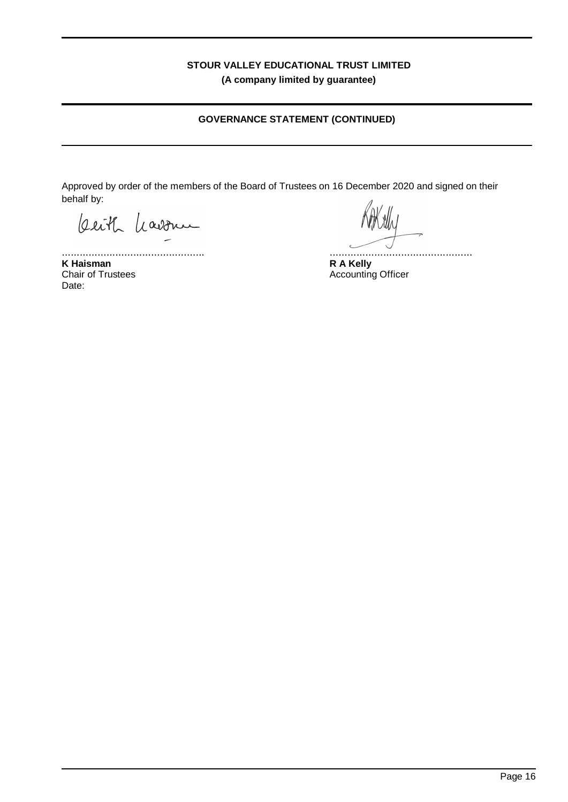## **GOVERNANCE STATEMENT (CONTINUED)**

Approved by order of the members of the Board of Trustees on 16 December 2020 and signed on their behalf by:

beith havonu

................................................ **K Haisman** Chair of Trustees Date:

................................................

**R A Kelly** Accounting Officer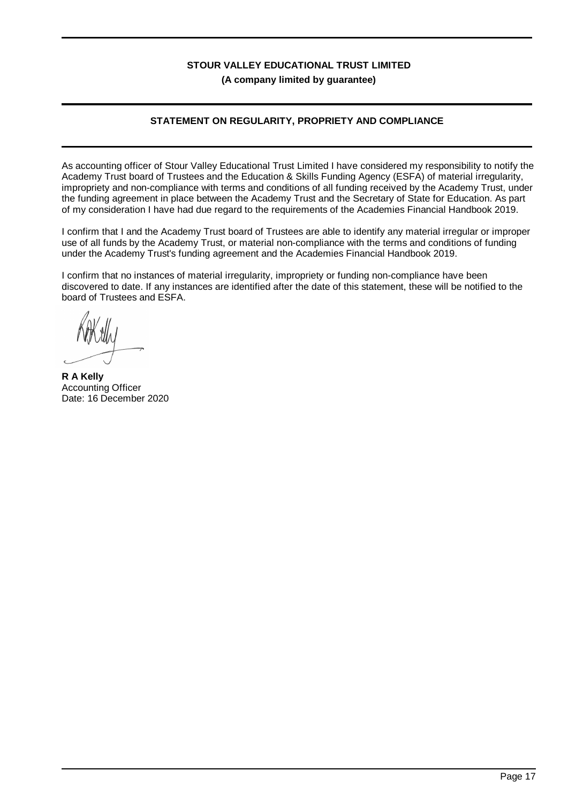## **STATEMENT ON REGULARITY, PROPRIETY AND COMPLIANCE**

As accounting officer of Stour Valley Educational Trust Limited I have considered my responsibility to notify the Academy Trust board of Trustees and the Education & Skills Funding Agency (ESFA) of material irregularity, impropriety and non-compliance with terms and conditions of all funding received by the Academy Trust, under the funding agreement in place between the Academy Trust and the Secretary of State for Education. As part of my consideration I have had due regard to the requirements of the Academies Financial Handbook 2019.

I confirm that I and the Academy Trust board of Trustees are able to identify any material irregular or improper use of all funds by the Academy Trust, or material non-compliance with the terms and conditions of funding under the Academy Trust's funding agreement and the Academies Financial Handbook 2019.

I confirm that no instances of material irregularity, impropriety or funding non-compliance have been discovered to date. If any instances are identified after the date of this statement, these will be notified to the board of Trustees and ESFA.

**R A Kelly** Accounting Officer Date: 16 December 2020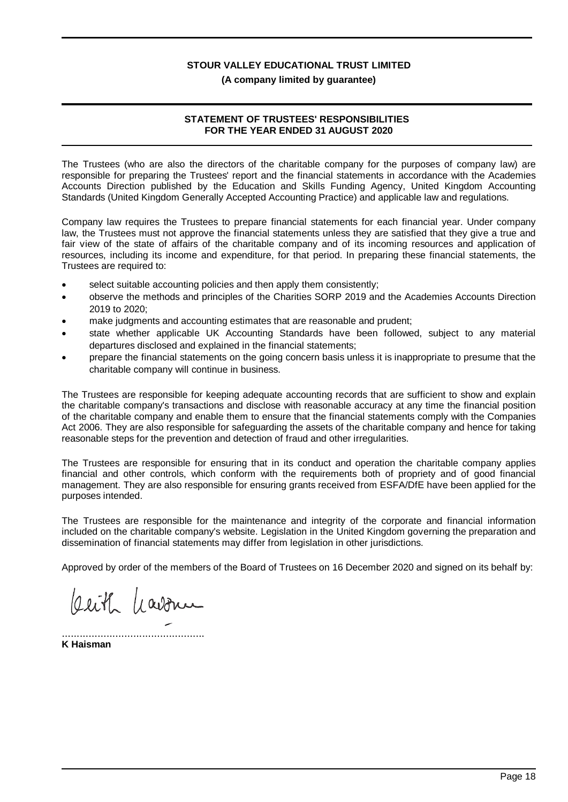### **(A company limited by guarantee)**

### **STATEMENT OF TRUSTEES' RESPONSIBILITIES FOR THE YEAR ENDED 31 AUGUST 2020**

The Trustees (who are also the directors of the charitable company for the purposes of company law) are responsible for preparing the Trustees' report and the financial statements in accordance with the Academies Accounts Direction published by the Education and Skills Funding Agency, United Kingdom Accounting Standards (United Kingdom Generally Accepted Accounting Practice) and applicable law and regulations.

Company law requires the Trustees to prepare financial statements for each financial year. Under company law, the Trustees must not approve the financial statements unless they are satisfied that they give a true and fair view of the state of affairs of the charitable company and of its incoming resources and application of resources, including its income and expenditure, for that period. In preparing these financial statements, the Trustees are required to:

- select suitable accounting policies and then apply them consistently;
- · observe the methods and principles of the Charities SORP 2019 and the Academies Accounts Direction 2019 to 2020;
- make judgments and accounting estimates that are reasonable and prudent;
- state whether applicable UK Accounting Standards have been followed, subject to any material departures disclosed and explained in the financial statements;
- · prepare the financial statements on the going concern basis unless it is inappropriate to presume that the charitable company will continue in business.

The Trustees are responsible for keeping adequate accounting records that are sufficient to show and explain the charitable company's transactions and disclose with reasonable accuracy at any time the financial position of the charitable company and enable them to ensure that the financial statements comply with the Companies Act 2006. They are also responsible for safeguarding the assets of the charitable company and hence for taking reasonable steps for the prevention and detection of fraud and other irregularities.

The Trustees are responsible for ensuring that in its conduct and operation the charitable company applies financial and other controls, which conform with the requirements both of propriety and of good financial management. They are also responsible for ensuring grants received from ESFA/DfE have been applied for the purposes intended.

The Trustees are responsible for the maintenance and integrity of the corporate and financial information included on the charitable company's website. Legislation in the United Kingdom governing the preparation and dissemination of financial statements may differ from legislation in other jurisdictions.

Approved by order of the members of the Board of Trustees on 16 December 2020 and signed on its behalf by:

Ceith havonu

................................................ **K Haisman**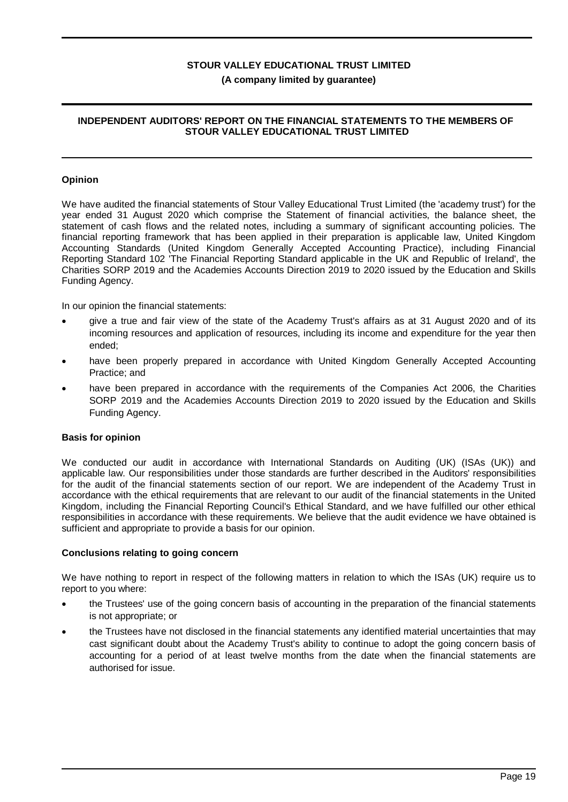### **INDEPENDENT AUDITORS' REPORT ON THE FINANCIAL STATEMENTS TO THE MEMBERS OF STOUR VALLEY EDUCATIONAL TRUST LIMITED**

### **Opinion**

We have audited the financial statements of Stour Valley Educational Trust Limited (the 'academy trust') for the year ended 31 August 2020 which comprise the Statement of financial activities, the balance sheet, the statement of cash flows and the related notes, including a summary of significant accounting policies. The financial reporting framework that has been applied in their preparation is applicable law, United Kingdom Accounting Standards (United Kingdom Generally Accepted Accounting Practice), including Financial Reporting Standard 102 'The Financial Reporting Standard applicable in the UK and Republic of Ireland', the Charities SORP 2019 and the Academies Accounts Direction 2019 to 2020 issued by the Education and Skills Funding Agency.

In our opinion the financial statements:

- · give a true and fair view of the state of the Academy Trust's affairs as at 31 August 2020 and of its incoming resources and application of resources, including its income and expenditure for the year then ended;
- have been properly prepared in accordance with United Kingdom Generally Accepted Accounting Practice; and
- have been prepared in accordance with the requirements of the Companies Act 2006, the Charities SORP 2019 and the Academies Accounts Direction 2019 to 2020 issued by the Education and Skills Funding Agency.

### **Basis for opinion**

We conducted our audit in accordance with International Standards on Auditing (UK) (ISAs (UK)) and applicable law. Our responsibilities under those standards are further described in the Auditors' responsibilities for the audit of the financial statements section of our report. We are independent of the Academy Trust in accordance with the ethical requirements that are relevant to our audit of the financial statements in the United Kingdom, including the Financial Reporting Council's Ethical Standard, and we have fulfilled our other ethical responsibilities in accordance with these requirements. We believe that the audit evidence we have obtained is sufficient and appropriate to provide a basis for our opinion.

### **Conclusions relating to going concern**

We have nothing to report in respect of the following matters in relation to which the ISAs (UK) require us to report to you where:

- the Trustees' use of the going concern basis of accounting in the preparation of the financial statements is not appropriate; or
- · the Trustees have not disclosed in the financial statements any identified material uncertainties that may cast significant doubt about the Academy Trust's ability to continue to adopt the going concern basis of accounting for a period of at least twelve months from the date when the financial statements are authorised for issue.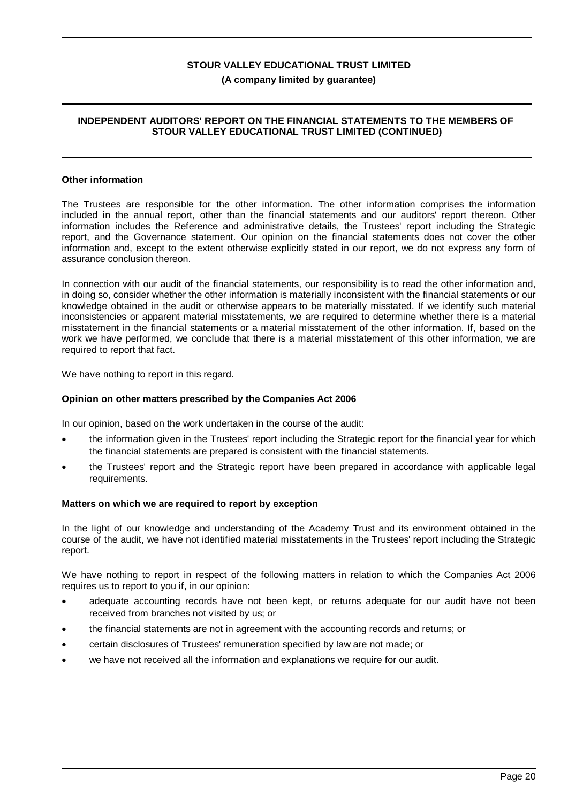### **INDEPENDENT AUDITORS' REPORT ON THE FINANCIAL STATEMENTS TO THE MEMBERS OF STOUR VALLEY EDUCATIONAL TRUST LIMITED (CONTINUED)**

### **Other information**

The Trustees are responsible for the other information. The other information comprises the information included in the annual report, other than the financial statements and our auditors' report thereon. Other information includes the Reference and administrative details, the Trustees' report including the Strategic report, and the Governance statement. Our opinion on the financial statements does not cover the other information and, except to the extent otherwise explicitly stated in our report, we do not express any form of assurance conclusion thereon.

In connection with our audit of the financial statements, our responsibility is to read the other information and, in doing so, consider whether the other information is materially inconsistent with the financial statements or our knowledge obtained in the audit or otherwise appears to be materially misstated. If we identify such material inconsistencies or apparent material misstatements, we are required to determine whether there is a material misstatement in the financial statements or a material misstatement of the other information. If, based on the work we have performed, we conclude that there is a material misstatement of this other information, we are required to report that fact.

We have nothing to report in this regard.

### **Opinion on other matters prescribed by the Companies Act 2006**

In our opinion, based on the work undertaken in the course of the audit:

- the information given in the Trustees' report including the Strategic report for the financial year for which the financial statements are prepared is consistent with the financial statements.
- · the Trustees' report and the Strategic report have been prepared in accordance with applicable legal requirements.

#### **Matters on which we are required to report by exception**

In the light of our knowledge and understanding of the Academy Trust and its environment obtained in the course of the audit, we have not identified material misstatements in the Trustees' report including the Strategic report.

We have nothing to report in respect of the following matters in relation to which the Companies Act 2006 requires us to report to you if, in our opinion:

- adequate accounting records have not been kept, or returns adequate for our audit have not been received from branches not visited by us; or
- · the financial statements are not in agreement with the accounting records and returns; or
- · certain disclosures of Trustees' remuneration specified by law are not made; or
- we have not received all the information and explanations we require for our audit.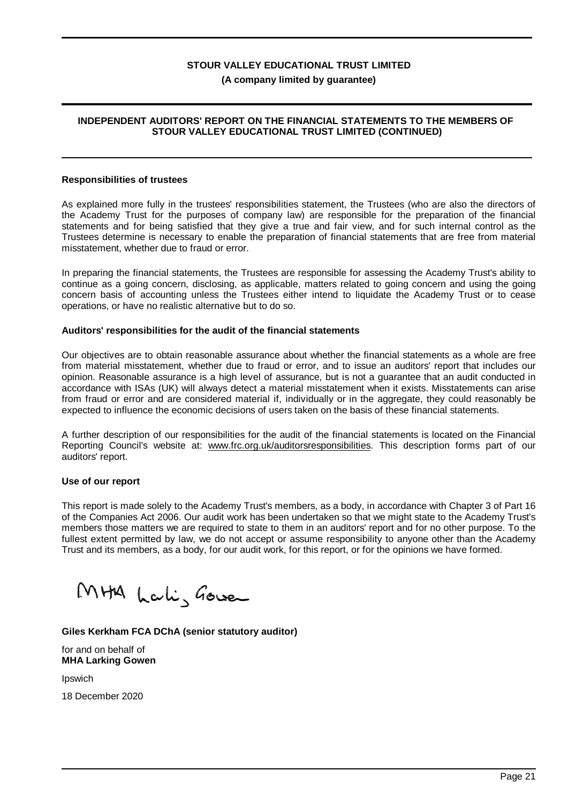### **INDEPENDENT AUDITORS' REPORT ON THE FINANCIAL STATEMENTS TO THE MEMBERS OF STOUR VALLEY EDUCATIONAL TRUST LIMITED (CONTINUED)**

### **Responsibilities of trustees**

As explained more fully in the trustees' responsibilities statement, the Trustees (who are also the directors of the Academy Trust for the purposes of company law) are responsible for the preparation of the financial statements and for being satisfied that they give a true and fair view, and for such internal control as the Trustees determine is necessary to enable the preparation of financial statements that are free from material misstatement, whether due to fraud or error.

In preparing the financial statements, the Trustees are responsible for assessing the Academy Trust's ability to continue as a going concern, disclosing, as applicable, matters related to going concern and using the going concern basis of accounting unless the Trustees either intend to liquidate the Academy Trust or to cease operations, or have no realistic alternative but to do so.

### **Auditors' responsibilities for the audit of the financial statements**

Our objectives are to obtain reasonable assurance about whether the financial statements as a whole are free from material misstatement, whether due to fraud or error, and to issue an auditors' report that includes our opinion. Reasonable assurance is a high level of assurance, but is not a guarantee that an audit conducted in accordance with ISAs (UK) will always detect a material misstatement when it exists. Misstatements can arise from fraud or error and are considered material if, individually or in the aggregate, they could reasonably be expected to influence the economic decisions of users taken on the basis of these financial statements.

A further description of our responsibilities for the audit of the financial statements is located on the Financial Reporting Council's website at: www.frc.org.uk/auditorsresponsibilities. This description forms part of our auditors' report.

### **Use of our report**

This report is made solely to the Academy Trust's members, as a body, in accordance with Chapter 3 of Part 16 of the Companies Act 2006. Our audit work has been undertaken so that we might state to the Academy Trust's members those matters we are required to state to them in an auditors' report and for no other purpose. To the fullest extent permitted by law, we do not accept or assume responsibility to anyone other than the Academy Trust and its members, as a body, for our audit work, for this report, or for the opinions we have formed.

MHA Lali, Gower

### **Giles Kerkham FCA DChA (senior statutory auditor)**

for and on behalf of **MHA Larking Gowen**

Ipswich

18 December 2020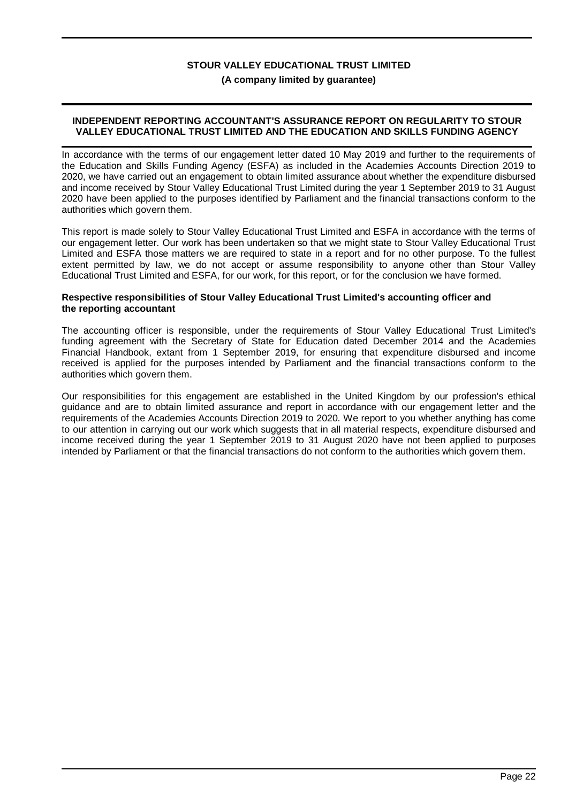### **(A company limited by guarantee)**

### **INDEPENDENT REPORTING ACCOUNTANT'S ASSURANCE REPORT ON REGULARITY TO STOUR VALLEY EDUCATIONAL TRUST LIMITED AND THE EDUCATION AND SKILLS FUNDING AGENCY**

In accordance with the terms of our engagement letter dated 10 May 2019 and further to the requirements of the Education and Skills Funding Agency (ESFA) as included in the Academies Accounts Direction 2019 to 2020, we have carried out an engagement to obtain limited assurance about whether the expenditure disbursed and income received by Stour Valley Educational Trust Limited during the year 1 September 2019 to 31 August 2020 have been applied to the purposes identified by Parliament and the financial transactions conform to the authorities which govern them.

This report is made solely to Stour Valley Educational Trust Limited and ESFA in accordance with the terms of our engagement letter. Our work has been undertaken so that we might state to Stour Valley Educational Trust Limited and ESFA those matters we are required to state in a report and for no other purpose. To the fullest extent permitted by law, we do not accept or assume responsibility to anyone other than Stour Valley Educational Trust Limited and ESFA, for our work, for this report, or for the conclusion we have formed.

### **Respective responsibilities of Stour Valley Educational Trust Limited's accounting officer and the reporting accountant**

The accounting officer is responsible, under the requirements of Stour Valley Educational Trust Limited's funding agreement with the Secretary of State for Education dated December 2014 and the Academies Financial Handbook, extant from 1 September 2019, for ensuring that expenditure disbursed and income received is applied for the purposes intended by Parliament and the financial transactions conform to the authorities which govern them.

Our responsibilities for this engagement are established in the United Kingdom by our profession's ethical guidance and are to obtain limited assurance and report in accordance with our engagement letter and the requirements of the Academies Accounts Direction 2019 to 2020. We report to you whether anything has come to our attention in carrying out our work which suggests that in all material respects, expenditure disbursed and income received during the year 1 September 2019 to 31 August 2020 have not been applied to purposes intended by Parliament or that the financial transactions do not conform to the authorities which govern them.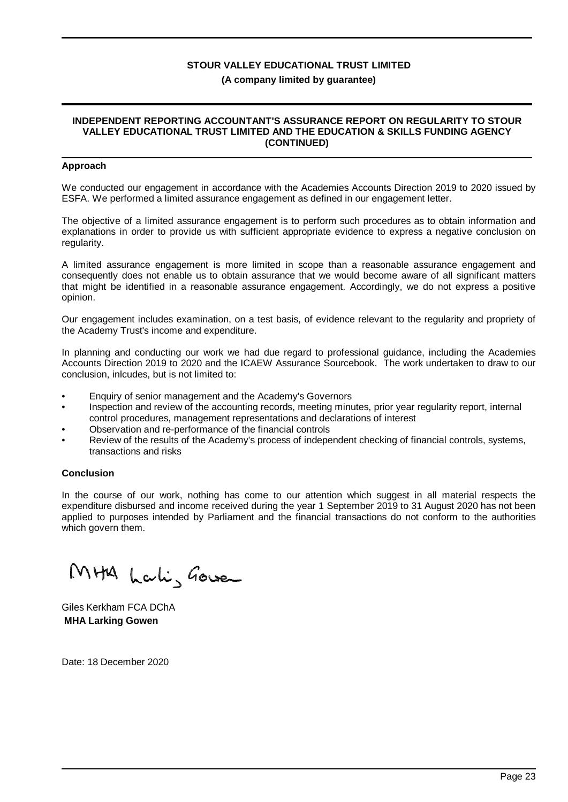### **(A company limited by guarantee)**

### **INDEPENDENT REPORTING ACCOUNTANT'S ASSURANCE REPORT ON REGULARITY TO STOUR VALLEY EDUCATIONAL TRUST LIMITED AND THE EDUCATION & SKILLS FUNDING AGENCY (CONTINUED)**

### **Approach**

We conducted our engagement in accordance with the Academies Accounts Direction 2019 to 2020 issued by ESFA. We performed a limited assurance engagement as defined in our engagement letter.

The objective of a limited assurance engagement is to perform such procedures as to obtain information and explanations in order to provide us with sufficient appropriate evidence to express a negative conclusion on regularity.

A limited assurance engagement is more limited in scope than a reasonable assurance engagement and consequently does not enable us to obtain assurance that we would become aware of all significant matters that might be identified in a reasonable assurance engagement. Accordingly, we do not express a positive opinion.

Our engagement includes examination, on a test basis, of evidence relevant to the regularity and propriety of the Academy Trust's income and expenditure.

In planning and conducting our work we had due regard to professional guidance, including the Academies Accounts Direction 2019 to 2020 and the ICAEW Assurance Sourcebook. The work undertaken to draw to our conclusion, inlcudes, but is not limited to:

- Enquiry of senior management and the Academy's Governors
- Inspection and review of the accounting records, meeting minutes, prior year regularity report, internal control procedures, management representations and declarations of interest
- Observation and re-performance of the financial controls
- Review of the results of the Academy's process of independent checking of financial controls, systems, transactions and risks

### **Conclusion**

In the course of our work, nothing has come to our attention which suggest in all material respects the expenditure disbursed and income received during the year 1 September 2019 to 31 August 2020 has not been applied to purposes intended by Parliament and the financial transactions do not conform to the authorities which govern them.

MHA Lali, Gower

Giles Kerkham FCA DChA **MHA Larking Gowen**

Date: 18 December 2020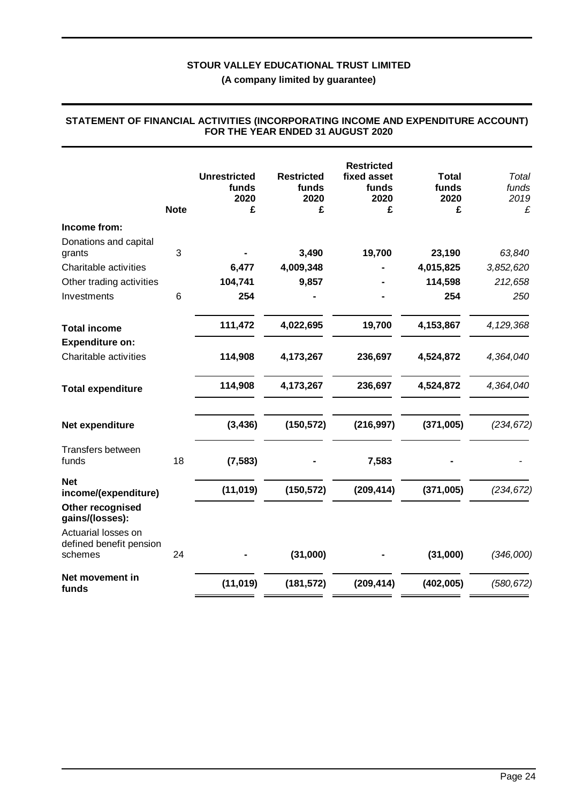**(A company limited by guarantee)**

|                                     | <b>Note</b> | <b>Unrestricted</b><br>funds<br>2020<br>£ | <b>Restricted</b><br>funds<br>2020<br>£ | <b>Restricted</b><br>fixed asset<br>funds<br>2020<br>£ | <b>Total</b><br>funds<br>2020<br>£ | Total<br>funds<br>2019<br>£ |
|-------------------------------------|-------------|-------------------------------------------|-----------------------------------------|--------------------------------------------------------|------------------------------------|-----------------------------|
| Income from:                        |             |                                           |                                         |                                                        |                                    |                             |
| Donations and capital               |             |                                           |                                         |                                                        |                                    |                             |
| grants                              | 3           |                                           | 3,490                                   | 19,700                                                 | 23,190                             | 63,840                      |
| Charitable activities               |             | 6,477                                     | 4,009,348                               |                                                        | 4,015,825                          | 3,852,620                   |
| Other trading activities            |             | 104,741                                   | 9,857                                   |                                                        | 114,598                            | 212,658                     |
| Investments                         | 6           | 254                                       |                                         |                                                        | 254                                | 250                         |
| <b>Total income</b>                 |             | 111,472                                   | 4,022,695                               | 19,700                                                 | 4,153,867                          | 4,129,368                   |
| <b>Expenditure on:</b>              |             |                                           |                                         |                                                        |                                    |                             |
| Charitable activities               |             | 114,908                                   | 4,173,267                               | 236,697                                                | 4,524,872                          | 4,364,040                   |
| <b>Total expenditure</b>            |             | 114,908                                   | 4,173,267                               | 236,697                                                | 4,524,872                          | 4,364,040                   |
| Net expenditure                     |             | (3, 436)                                  | (150, 572)                              | (216, 997)                                             | (371,005)                          | (234, 672)                  |
| Transfers between<br>funds          | 18          | (7, 583)                                  |                                         | 7,583                                                  |                                    |                             |
| <b>Net</b><br>income/(expenditure)  |             | (11, 019)                                 | (150, 572)                              | (209, 414)                                             | (371,005)                          | (234, 672)                  |
| Other recognised<br>gains/(losses): |             |                                           |                                         |                                                        |                                    |                             |
| Actuarial losses on                 |             |                                           |                                         |                                                        |                                    |                             |
| defined benefit pension             |             |                                           |                                         |                                                        |                                    |                             |
| schemes                             | 24          |                                           | (31,000)                                |                                                        | (31,000)                           | (346,000)                   |
| Net movement in<br>funds            |             | (11, 019)                                 | (181, 572)                              | (209, 414)                                             | (402, 005)                         | (580, 672)                  |

### **STATEMENT OF FINANCIAL ACTIVITIES (INCORPORATING INCOME AND EXPENDITURE ACCOUNT) FOR THE YEAR ENDED 31 AUGUST 2020**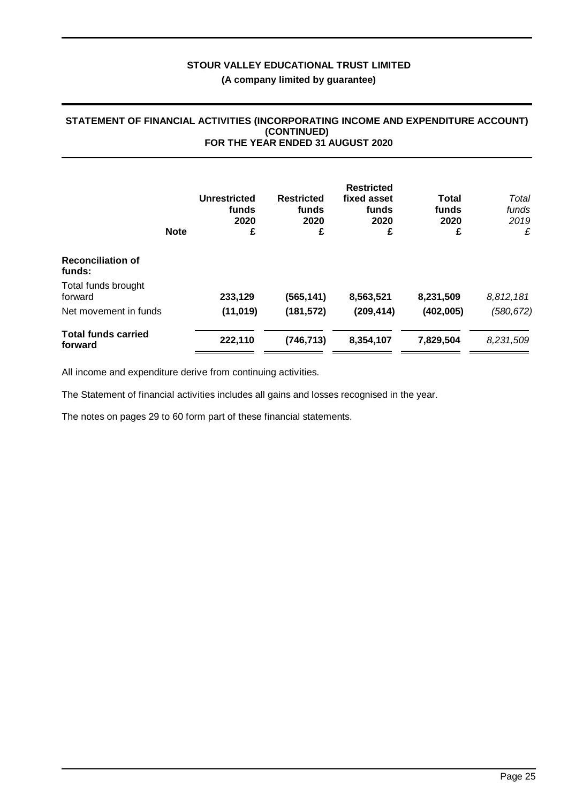### **STATEMENT OF FINANCIAL ACTIVITIES (INCORPORATING INCOME AND EXPENDITURE ACCOUNT) (CONTINUED) FOR THE YEAR ENDED 31 AUGUST 2020**

|                                       | <b>Note</b> | <b>Unrestricted</b><br>funds<br>2020<br>£ | <b>Restricted</b><br>funds<br>2020<br>£ | <b>Restricted</b><br>fixed asset<br>funds<br>2020<br>£ | Total<br>funds<br>2020<br>£ | Total<br>funds<br>2019<br>£ |
|---------------------------------------|-------------|-------------------------------------------|-----------------------------------------|--------------------------------------------------------|-----------------------------|-----------------------------|
| <b>Reconciliation of</b><br>funds:    |             |                                           |                                         |                                                        |                             |                             |
| Total funds brought<br>forward        |             | 233,129                                   | (565, 141)                              | 8,563,521                                              | 8,231,509                   | 8,812,181                   |
| Net movement in funds                 |             | (11, 019)                                 | (181, 572)                              | (209, 414)                                             | (402,005)                   | (580, 672)                  |
| <b>Total funds carried</b><br>forward |             | 222,110                                   | (746,713)                               | 8,354,107                                              | 7,829,504                   | 8,231,509                   |

All income and expenditure derive from continuing activities.

The Statement of financial activities includes all gains and losses recognised in the year.

The notes on pages 29 to 60 form part of these financial statements.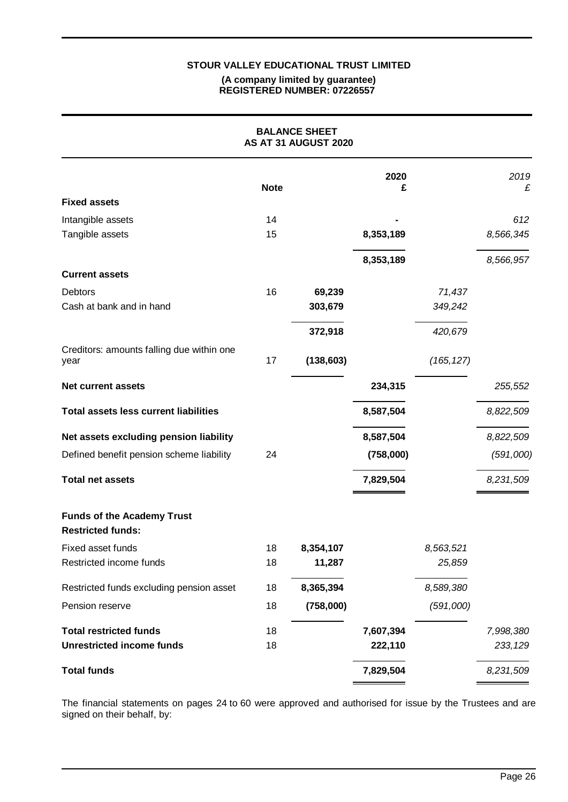### **(A company limited by guarantee) REGISTERED NUMBER: 07226557**

|                                                               |             | <b>BALANCE SHEET</b><br>AS AT 31 AUGUST 2020 |           |            |           |
|---------------------------------------------------------------|-------------|----------------------------------------------|-----------|------------|-----------|
|                                                               | <b>Note</b> |                                              | 2020<br>£ |            | 2019<br>£ |
| <b>Fixed assets</b>                                           |             |                                              |           |            |           |
| Intangible assets                                             | 14          |                                              |           |            | 612       |
| Tangible assets                                               | 15          |                                              | 8,353,189 |            | 8,566,345 |
|                                                               |             |                                              | 8,353,189 |            | 8,566,957 |
| <b>Current assets</b>                                         |             |                                              |           |            |           |
| <b>Debtors</b>                                                | 16          | 69,239                                       |           | 71,437     |           |
| Cash at bank and in hand                                      |             | 303,679                                      |           | 349,242    |           |
|                                                               |             | 372,918                                      |           | 420,679    |           |
| Creditors: amounts falling due within one<br>year             | 17          | (138, 603)                                   |           | (165, 127) |           |
| <b>Net current assets</b>                                     |             |                                              | 234,315   |            | 255,552   |
| <b>Total assets less current liabilities</b>                  |             |                                              | 8,587,504 |            | 8,822,509 |
| Net assets excluding pension liability                        |             |                                              | 8,587,504 |            | 8,822,509 |
| Defined benefit pension scheme liability                      | 24          |                                              | (758,000) |            | (591,000) |
| <b>Total net assets</b>                                       |             |                                              | 7,829,504 |            | 8,231,509 |
| <b>Funds of the Academy Trust</b><br><b>Restricted funds:</b> |             |                                              |           |            |           |
| Fixed asset funds                                             | 18          | 8,354,107                                    |           | 8,563,521  |           |
| Restricted income funds                                       | 18          | 11,287                                       |           | 25,859     |           |
| Restricted funds excluding pension asset                      | 18          | 8,365,394                                    |           | 8,589,380  |           |
| Pension reserve                                               | 18          | (758,000)                                    |           | (591,000)  |           |
| <b>Total restricted funds</b>                                 | 18          |                                              | 7,607,394 |            | 7,998,380 |
| <b>Unrestricted income funds</b>                              | 18          |                                              | 222,110   |            | 233,129   |
| <b>Total funds</b>                                            |             |                                              | 7,829,504 |            | 8,231,509 |

The financial statements on pages 24 to 60 were approved and authorised for issue by the Trustees and are signed on their behalf, by: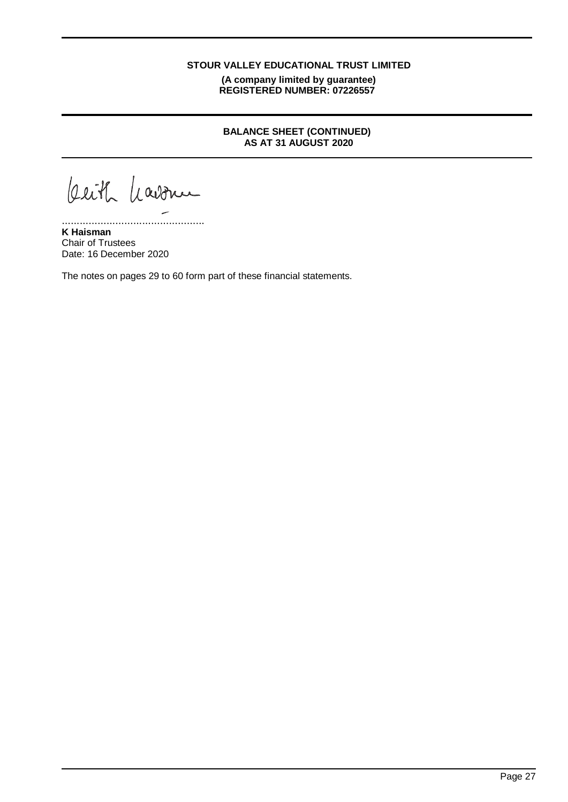**(A company limited by guarantee) REGISTERED NUMBER: 07226557**

## **BALANCE SHEET (CONTINUED) AS AT 31 AUGUST 2020**

beith havonu

................................................

**K Haisman** Chair of Trustees Date: 16 December 2020

The notes on pages 29 to 60 form part of these financial statements.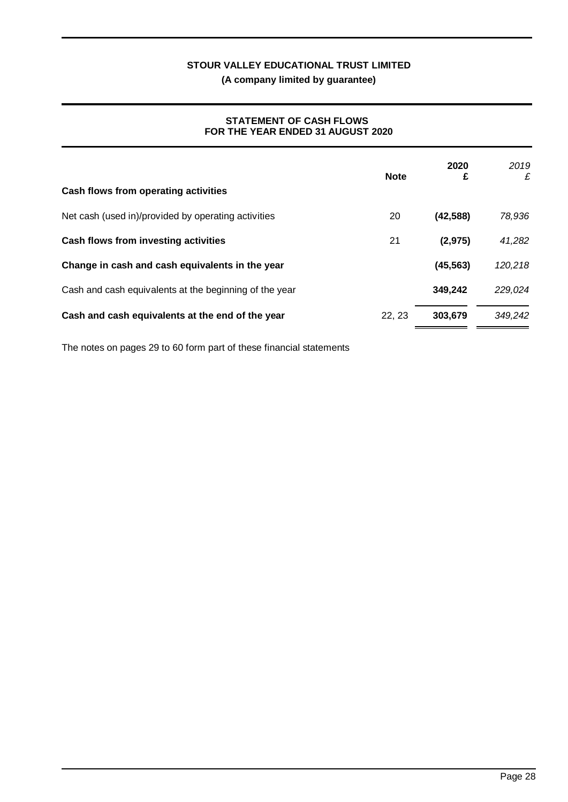**(A company limited by guarantee)**

### **STATEMENT OF CASH FLOWS FOR THE YEAR ENDED 31 AUGUST 2020**

|                                                        | <b>Note</b> | 2020<br>£ | 2019<br>£ |
|--------------------------------------------------------|-------------|-----------|-----------|
| Cash flows from operating activities                   |             |           |           |
| Net cash (used in)/provided by operating activities    | 20          | (42, 588) | 78,936    |
| Cash flows from investing activities                   | 21          | (2, 975)  | 41,282    |
| Change in cash and cash equivalents in the year        |             | (45, 563) | 120,218   |
| Cash and cash equivalents at the beginning of the year |             | 349,242   | 229,024   |
| Cash and cash equivalents at the end of the year       | 22.23       | 303.679   | 349,242   |

The notes on pages 29 to 60 form part of these financial statements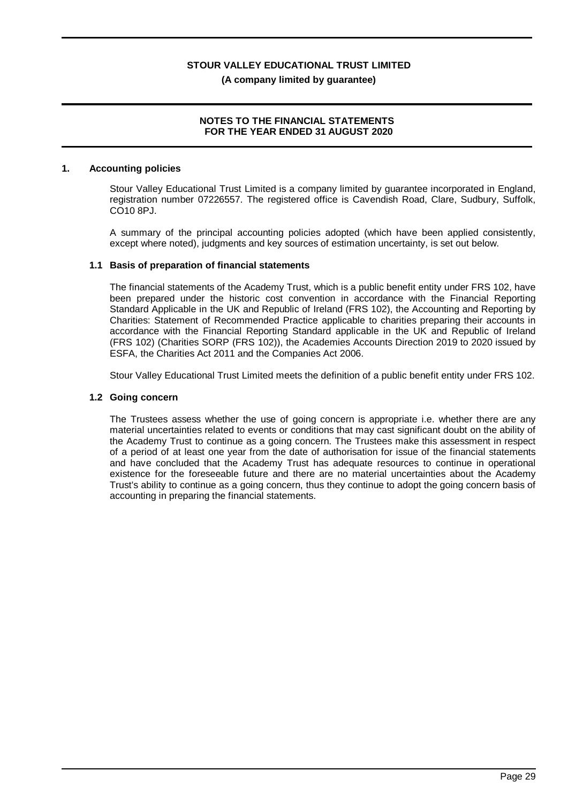# **NOTES TO THE FINANCIAL STATEMENTS**

### **FOR THE YEAR ENDED 31 AUGUST 2020**

### **1. Accounting policies**

Stour Valley Educational Trust Limited is a company limited by guarantee incorporated in England, registration number 07226557. The registered office is Cavendish Road, Clare, Sudbury, Suffolk, CO10 8PJ.

A summary of the principal accounting policies adopted (which have been applied consistently, except where noted), judgments and key sources of estimation uncertainty, is set out below.

### **1.1 Basis of preparation of financial statements**

The financial statements of the Academy Trust, which is a public benefit entity under FRS 102, have been prepared under the historic cost convention in accordance with the Financial Reporting Standard Applicable in the UK and Republic of Ireland (FRS 102), the Accounting and Reporting by Charities: Statement of Recommended Practice applicable to charities preparing their accounts in accordance with the Financial Reporting Standard applicable in the UK and Republic of Ireland (FRS 102) (Charities SORP (FRS 102)), the Academies Accounts Direction 2019 to 2020 issued by ESFA, the Charities Act 2011 and the Companies Act 2006.

Stour Valley Educational Trust Limited meets the definition of a public benefit entity under FRS 102.

### **1.2 Going concern**

The Trustees assess whether the use of going concern is appropriate i.e. whether there are any material uncertainties related to events or conditions that may cast significant doubt on the ability of the Academy Trust to continue as a going concern. The Trustees make this assessment in respect of a period of at least one year from the date of authorisation for issue of the financial statements and have concluded that the Academy Trust has adequate resources to continue in operational existence for the foreseeable future and there are no material uncertainties about the Academy Trust's ability to continue as a going concern, thus they continue to adopt the going concern basis of accounting in preparing the financial statements.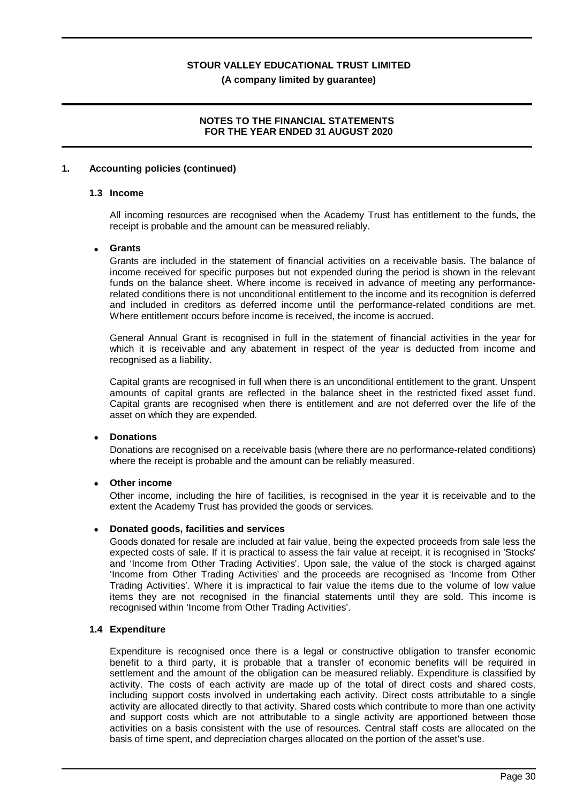**(A company limited by guarantee)**

### **NOTES TO THE FINANCIAL STATEMENTS FOR THE YEAR ENDED 31 AUGUST 2020**

### **1. Accounting policies (continued)**

### **1.3 Income**

All incoming resources are recognised when the Academy Trust has entitlement to the funds, the receipt is probable and the amount can be measured reliably.

### · **Grants**

Grants are included in the statement of financial activities on a receivable basis. The balance of income received for specific purposes but not expended during the period is shown in the relevant funds on the balance sheet. Where income is received in advance of meeting any performancerelated conditions there is not unconditional entitlement to the income and its recognition is deferred and included in creditors as deferred income until the performance-related conditions are met. Where entitlement occurs before income is received, the income is accrued.

General Annual Grant is recognised in full in the statement of financial activities in the year for which it is receivable and any abatement in respect of the year is deducted from income and recognised as a liability.

Capital grants are recognised in full when there is an unconditional entitlement to the grant. Unspent amounts of capital grants are reflected in the balance sheet in the restricted fixed asset fund. Capital grants are recognised when there is entitlement and are not deferred over the life of the asset on which they are expended.

### · **Donations**

Donations are recognised on a receivable basis (where there are no performance-related conditions) where the receipt is probable and the amount can be reliably measured.

### **Other income**

Other income, including the hire of facilities, is recognised in the year it is receivable and to the extent the Academy Trust has provided the goods or services.

### · **Donated goods, facilities and services**

Goods donated for resale are included at fair value, being the expected proceeds from sale less the expected costs of sale. If it is practical to assess the fair value at receipt, it is recognised in 'Stocks' and 'Income from Other Trading Activities'. Upon sale, the value of the stock is charged against 'Income from Other Trading Activities' and the proceeds are recognised as 'Income from Other Trading Activities'. Where it is impractical to fair value the items due to the volume of low value items they are not recognised in the financial statements until they are sold. This income is recognised within 'Income from Other Trading Activities'.

### **1.4 Expenditure**

Expenditure is recognised once there is a legal or constructive obligation to transfer economic benefit to a third party, it is probable that a transfer of economic benefits will be required in settlement and the amount of the obligation can be measured reliably. Expenditure is classified by activity. The costs of each activity are made up of the total of direct costs and shared costs, including support costs involved in undertaking each activity. Direct costs attributable to a single activity are allocated directly to that activity. Shared costs which contribute to more than one activity and support costs which are not attributable to a single activity are apportioned between those activities on a basis consistent with the use of resources. Central staff costs are allocated on the basis of time spent, and depreciation charges allocated on the portion of the asset's use.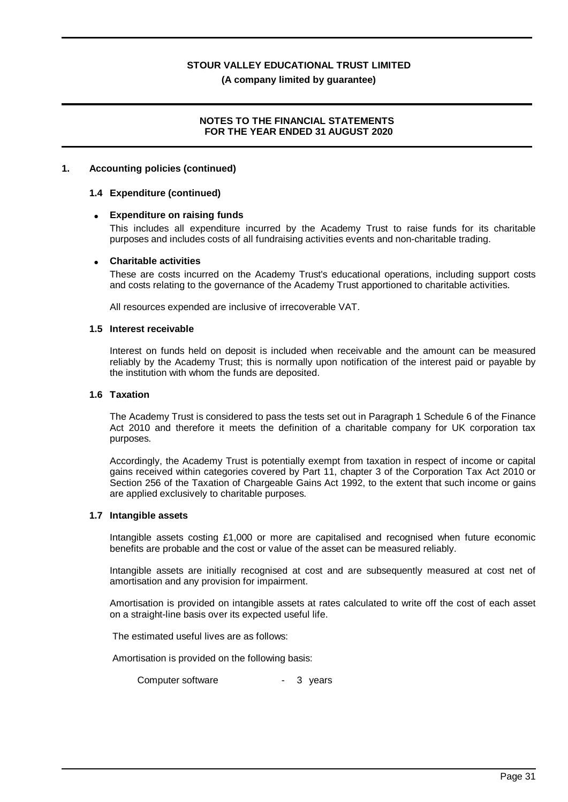**(A company limited by guarantee)**

### **NOTES TO THE FINANCIAL STATEMENTS FOR THE YEAR ENDED 31 AUGUST 2020**

### **1. Accounting policies (continued)**

### **1.4 Expenditure (continued)**

### · **Expenditure on raising funds**

This includes all expenditure incurred by the Academy Trust to raise funds for its charitable purposes and includes costs of all fundraising activities events and non-charitable trading.

### · **Charitable activities**

These are costs incurred on the Academy Trust's educational operations, including support costs and costs relating to the governance of the Academy Trust apportioned to charitable activities.

All resources expended are inclusive of irrecoverable VAT.

### **1.5 Interest receivable**

Interest on funds held on deposit is included when receivable and the amount can be measured reliably by the Academy Trust; this is normally upon notification of the interest paid or payable by the institution with whom the funds are deposited.

### **1.6 Taxation**

The Academy Trust is considered to pass the tests set out in Paragraph 1 Schedule 6 of the Finance Act 2010 and therefore it meets the definition of a charitable company for UK corporation tax purposes.

Accordingly, the Academy Trust is potentially exempt from taxation in respect of income or capital gains received within categories covered by Part 11, chapter 3 of the Corporation Tax Act 2010 or Section 256 of the Taxation of Chargeable Gains Act 1992, to the extent that such income or gains are applied exclusively to charitable purposes.

### **1.7 Intangible assets**

Intangible assets costing £1,000 or more are capitalised and recognised when future economic benefits are probable and the cost or value of the asset can be measured reliably.

Intangible assets are initially recognised at cost and are subsequently measured at cost net of amortisation and any provision for impairment.

Amortisation is provided on intangible assets at rates calculated to write off the cost of each asset on a straight-line basis over its expected useful life.

The estimated useful lives are as follows:

Amortisation is provided on the following basis:

Computer software **- 3** years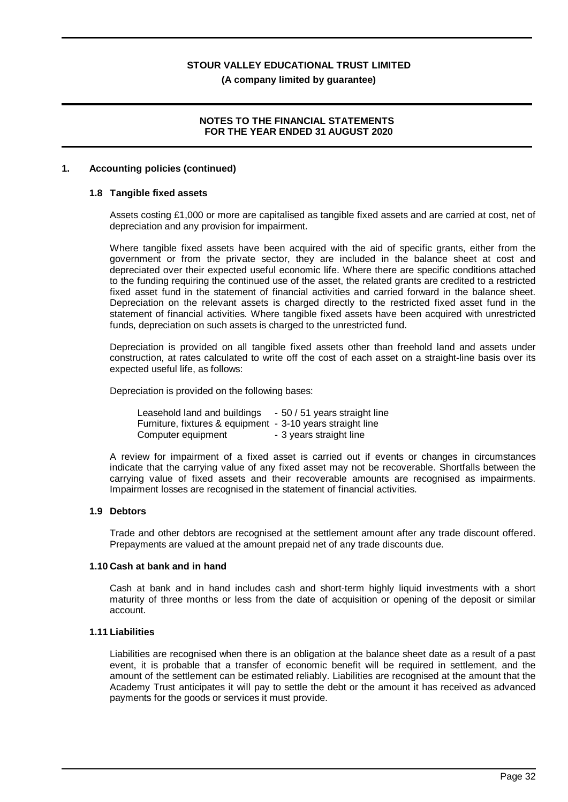### **(A company limited by guarantee)**

### **NOTES TO THE FINANCIAL STATEMENTS FOR THE YEAR ENDED 31 AUGUST 2020**

### **1. Accounting policies (continued)**

### **1.8 Tangible fixed assets**

Assets costing £1,000 or more are capitalised as tangible fixed assets and are carried at cost, net of depreciation and any provision for impairment.

Where tangible fixed assets have been acquired with the aid of specific grants, either from the government or from the private sector, they are included in the balance sheet at cost and depreciated over their expected useful economic life. Where there are specific conditions attached to the funding requiring the continued use of the asset, the related grants are credited to a restricted fixed asset fund in the statement of financial activities and carried forward in the balance sheet. Depreciation on the relevant assets is charged directly to the restricted fixed asset fund in the statement of financial activities. Where tangible fixed assets have been acquired with unrestricted funds, depreciation on such assets is charged to the unrestricted fund.

Depreciation is provided on all tangible fixed assets other than freehold land and assets under construction, at rates calculated to write off the cost of each asset on a straight-line basis over its expected useful life, as follows:

Depreciation is provided on the following bases:

Leasehold land and buildings - 50 / 51 years straight line Furniture, fixtures & equipment - 3-10 years straight line Computer equipment - 3 years straight line

A review for impairment of a fixed asset is carried out if events or changes in circumstances indicate that the carrying value of any fixed asset may not be recoverable. Shortfalls between the carrying value of fixed assets and their recoverable amounts are recognised as impairments. Impairment losses are recognised in the statement of financial activities.

### **1.9 Debtors**

Trade and other debtors are recognised at the settlement amount after any trade discount offered. Prepayments are valued at the amount prepaid net of any trade discounts due.

#### **1.10 Cash at bank and in hand**

Cash at bank and in hand includes cash and short-term highly liquid investments with a short maturity of three months or less from the date of acquisition or opening of the deposit or similar account.

### **1.11 Liabilities**

Liabilities are recognised when there is an obligation at the balance sheet date as a result of a past event, it is probable that a transfer of economic benefit will be required in settlement, and the amount of the settlement can be estimated reliably. Liabilities are recognised at the amount that the Academy Trust anticipates it will pay to settle the debt or the amount it has received as advanced payments for the goods or services it must provide.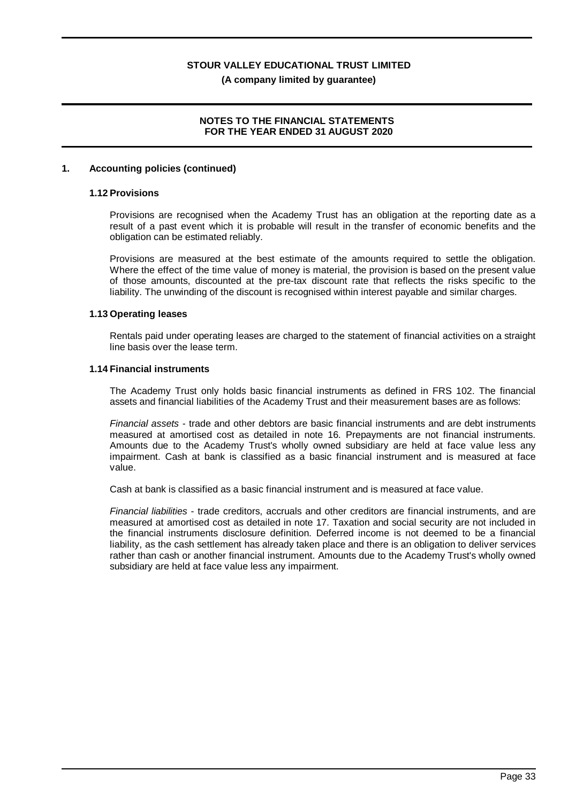### **(A company limited by guarantee)**

### **NOTES TO THE FINANCIAL STATEMENTS FOR THE YEAR ENDED 31 AUGUST 2020**

### **1. Accounting policies (continued)**

### **1.12 Provisions**

Provisions are recognised when the Academy Trust has an obligation at the reporting date as a result of a past event which it is probable will result in the transfer of economic benefits and the obligation can be estimated reliably.

Provisions are measured at the best estimate of the amounts required to settle the obligation. Where the effect of the time value of money is material, the provision is based on the present value of those amounts, discounted at the pre-tax discount rate that reflects the risks specific to the liability. The unwinding of the discount is recognised within interest payable and similar charges.

### **1.13 Operating leases**

Rentals paid under operating leases are charged to the statement of financial activities on a straight line basis over the lease term.

### **1.14 Financial instruments**

The Academy Trust only holds basic financial instruments as defined in FRS 102. The financial assets and financial liabilities of the Academy Trust and their measurement bases are as follows:

*Financial assets* - trade and other debtors are basic financial instruments and are debt instruments measured at amortised cost as detailed in note 16. Prepayments are not financial instruments. Amounts due to the Academy Trust's wholly owned subsidiary are held at face value less any impairment. Cash at bank is classified as a basic financial instrument and is measured at face value.

Cash at bank is classified as a basic financial instrument and is measured at face value.

*Financial liabilities* - trade creditors, accruals and other creditors are financial instruments, and are measured at amortised cost as detailed in note 17. Taxation and social security are not included in the financial instruments disclosure definition. Deferred income is not deemed to be a financial liability, as the cash settlement has already taken place and there is an obligation to deliver services rather than cash or another financial instrument. Amounts due to the Academy Trust's wholly owned subsidiary are held at face value less any impairment.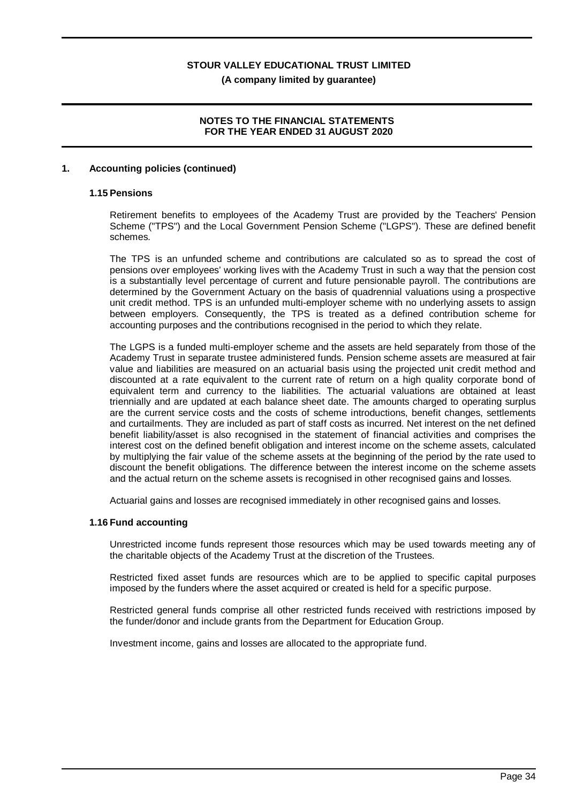## **(A company limited by guarantee)**

### **NOTES TO THE FINANCIAL STATEMENTS FOR THE YEAR ENDED 31 AUGUST 2020**

### **1. Accounting policies (continued)**

### **1.15 Pensions**

Retirement benefits to employees of the Academy Trust are provided by the Teachers' Pension Scheme ("TPS") and the Local Government Pension Scheme ("LGPS"). These are defined benefit schemes.

The TPS is an unfunded scheme and contributions are calculated so as to spread the cost of pensions over employees' working lives with the Academy Trust in such a way that the pension cost is a substantially level percentage of current and future pensionable payroll. The contributions are determined by the Government Actuary on the basis of quadrennial valuations using a prospective unit credit method. TPS is an unfunded multi-employer scheme with no underlying assets to assign between employers. Consequently, the TPS is treated as a defined contribution scheme for accounting purposes and the contributions recognised in the period to which they relate.

The LGPS is a funded multi-employer scheme and the assets are held separately from those of the Academy Trust in separate trustee administered funds. Pension scheme assets are measured at fair value and liabilities are measured on an actuarial basis using the projected unit credit method and discounted at a rate equivalent to the current rate of return on a high quality corporate bond of equivalent term and currency to the liabilities. The actuarial valuations are obtained at least triennially and are updated at each balance sheet date. The amounts charged to operating surplus are the current service costs and the costs of scheme introductions, benefit changes, settlements and curtailments. They are included as part of staff costs as incurred. Net interest on the net defined benefit liability/asset is also recognised in the statement of financial activities and comprises the interest cost on the defined benefit obligation and interest income on the scheme assets, calculated by multiplying the fair value of the scheme assets at the beginning of the period by the rate used to discount the benefit obligations. The difference between the interest income on the scheme assets and the actual return on the scheme assets is recognised in other recognised gains and losses.

Actuarial gains and losses are recognised immediately in other recognised gains and losses.

### **1.16 Fund accounting**

Unrestricted income funds represent those resources which may be used towards meeting any of the charitable objects of the Academy Trust at the discretion of the Trustees.

Restricted fixed asset funds are resources which are to be applied to specific capital purposes imposed by the funders where the asset acquired or created is held for a specific purpose.

Restricted general funds comprise all other restricted funds received with restrictions imposed by the funder/donor and include grants from the Department for Education Group.

Investment income, gains and losses are allocated to the appropriate fund.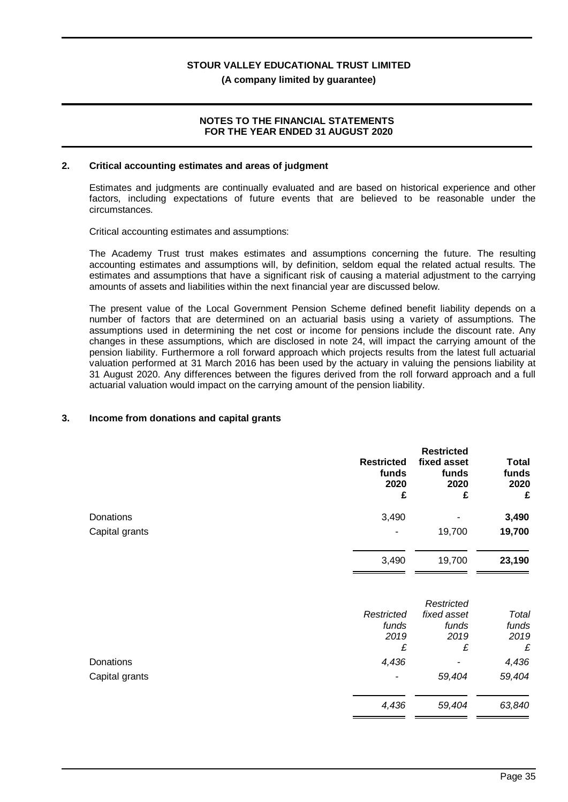**(A company limited by guarantee)**

### **NOTES TO THE FINANCIAL STATEMENTS FOR THE YEAR ENDED 31 AUGUST 2020**

### **2. Critical accounting estimates and areas of judgment**

Estimates and judgments are continually evaluated and are based on historical experience and other factors, including expectations of future events that are believed to be reasonable under the circumstances.

Critical accounting estimates and assumptions:

The Academy Trust trust makes estimates and assumptions concerning the future. The resulting accounting estimates and assumptions will, by definition, seldom equal the related actual results. The estimates and assumptions that have a significant risk of causing a material adjustment to the carrying amounts of assets and liabilities within the next financial year are discussed below.

The present value of the Local Government Pension Scheme defined benefit liability depends on a number of factors that are determined on an actuarial basis using a variety of assumptions. The assumptions used in determining the net cost or income for pensions include the discount rate. Any changes in these assumptions, which are disclosed in note 24, will impact the carrying amount of the pension liability. Furthermore a roll forward approach which projects results from the latest full actuarial valuation performed at 31 March 2016 has been used by the actuary in valuing the pensions liability at 31 August 2020. Any differences between the figures derived from the roll forward approach and a full actuarial valuation would impact on the carrying amount of the pension liability.

### **3. Income from donations and capital grants**

|                | <b>Restricted</b><br>funds<br>2020<br>£ | <b>Restricted</b><br>fixed asset<br>funds<br>2020<br>£ | <b>Total</b><br>funds<br>2020<br>£ |
|----------------|-----------------------------------------|--------------------------------------------------------|------------------------------------|
| Donations      | 3,490                                   |                                                        | 3,490                              |
| Capital grants |                                         | 19,700                                                 | 19,700                             |
|                | 3,490                                   | 19,700                                                 | 23,190                             |
|                |                                         | Restricted                                             |                                    |
|                | Restricted                              | fixed asset                                            | Total                              |
|                | funds                                   | funds                                                  | funds                              |
|                | 2019                                    | 2019                                                   | 2019                               |

Donations *4,436 - 4,436* Capital grants *- 59,404 59,404*

*£ £ £*

*4,436 59,404 63,840*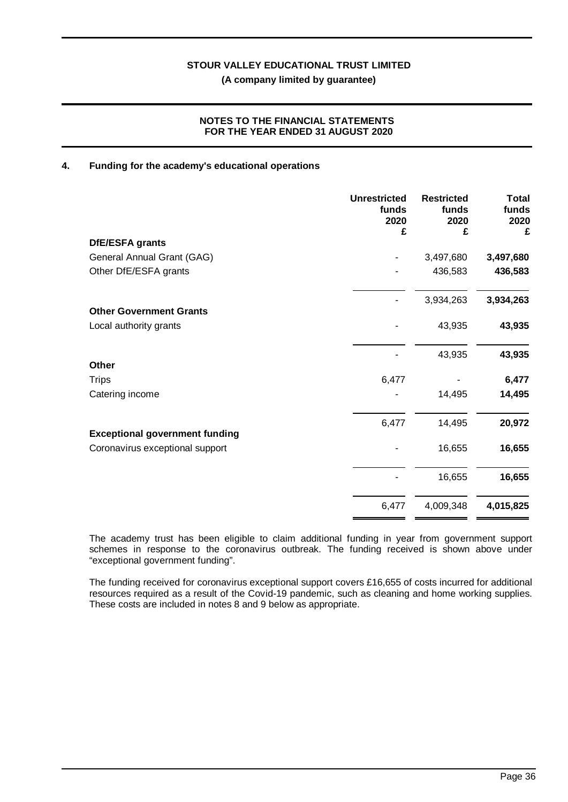### **NOTES TO THE FINANCIAL STATEMENTS FOR THE YEAR ENDED 31 AUGUST 2020**

### **4. Funding for the academy's educational operations**

| <b>Unrestricted</b><br>funds<br>2020 | <b>Restricted</b><br>funds<br>2020 | <b>Total</b><br>funds<br>2020<br>£ |
|--------------------------------------|------------------------------------|------------------------------------|
|                                      |                                    |                                    |
|                                      | 3,497,680                          | 3,497,680                          |
|                                      | 436,583                            | 436,583                            |
|                                      | 3,934,263                          | 3,934,263                          |
|                                      |                                    |                                    |
|                                      | 43,935                             | 43,935                             |
|                                      | 43,935                             | 43,935                             |
|                                      |                                    |                                    |
| 6,477                                |                                    | 6,477                              |
|                                      | 14,495                             | 14,495                             |
| 6,477                                | 14,495                             | 20,972                             |
|                                      |                                    |                                    |
|                                      | 16,655                             | 16,655                             |
|                                      | 16,655                             | 16,655                             |
| 6,477                                | 4,009,348                          | 4,015,825                          |
|                                      | £                                  | £                                  |

The academy trust has been eligible to claim additional funding in year from government support schemes in response to the coronavirus outbreak. The funding received is shown above under "exceptional government funding".

The funding received for coronavirus exceptional support covers £16,655 of costs incurred for additional resources required as a result of the Covid-19 pandemic, such as cleaning and home working supplies. These costs are included in notes 8 and 9 below as appropriate.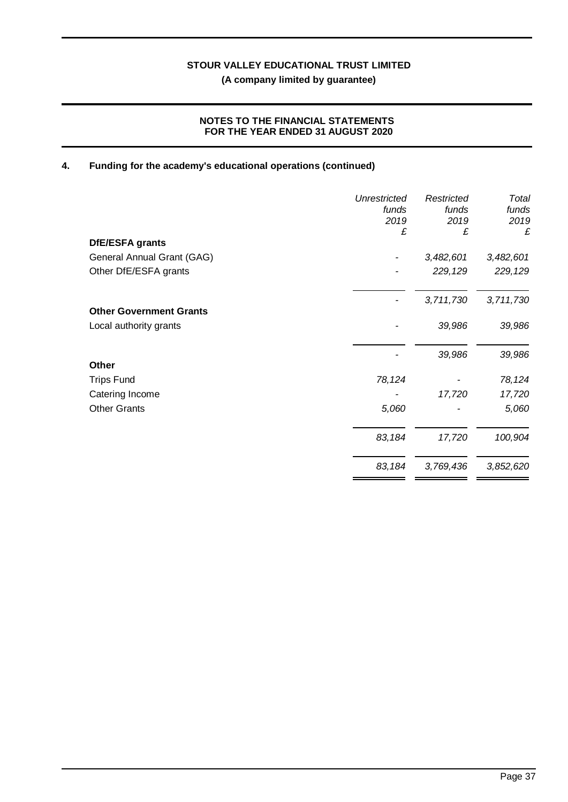### **NOTES TO THE FINANCIAL STATEMENTS FOR THE YEAR ENDED 31 AUGUST 2020**

## **4. Funding for the academy's educational operations (continued)**

|                                | Unrestricted<br>funds<br>2019<br>£ | Restricted<br>funds<br>2019<br>£ | Total<br>funds<br>2019<br>£ |
|--------------------------------|------------------------------------|----------------------------------|-----------------------------|
| DfE/ESFA grants                |                                    |                                  |                             |
| General Annual Grant (GAG)     |                                    | 3,482,601                        | 3,482,601                   |
| Other DfE/ESFA grants          |                                    | 229,129                          | 229,129                     |
|                                |                                    | 3,711,730                        | 3,711,730                   |
| <b>Other Government Grants</b> |                                    |                                  |                             |
| Local authority grants         |                                    | 39,986                           | 39,986                      |
|                                |                                    | 39,986                           | 39,986                      |
| <b>Other</b>                   |                                    |                                  |                             |
| <b>Trips Fund</b>              | 78,124                             |                                  | 78,124                      |
| Catering Income                |                                    | 17,720                           | 17,720                      |
| <b>Other Grants</b>            | 5,060                              |                                  | 5,060                       |
|                                | 83,184                             | 17,720                           | 100,904                     |
|                                | 83,184                             | 3,769,436                        | 3,852,620                   |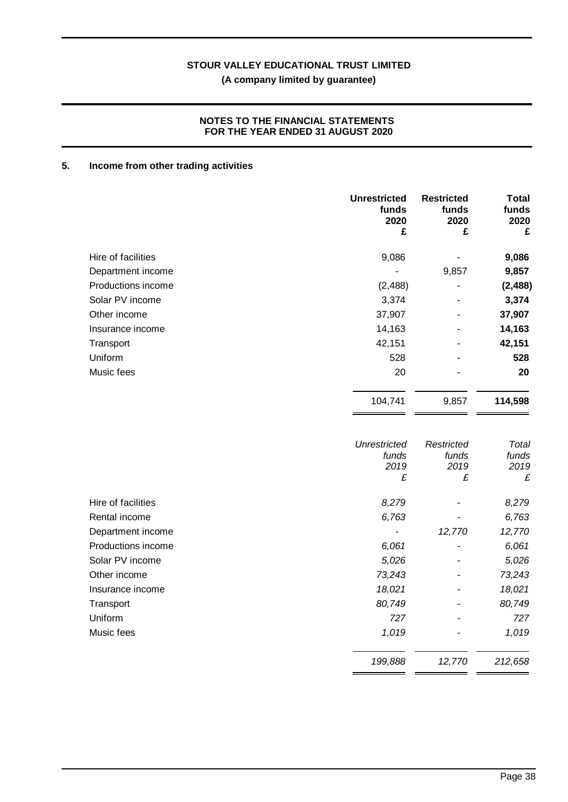### **NOTES TO THE FINANCIAL STATEMENTS FOR THE YEAR ENDED 31 AUGUST 2020**

## **5. Income from other trading activities**

|                    | <b>Unrestricted</b><br>funds<br>2020<br>£ | <b>Restricted</b><br>funds<br>2020<br>£ | <b>Total</b><br>funds<br>2020<br>£ |
|--------------------|-------------------------------------------|-----------------------------------------|------------------------------------|
| Hire of facilities | 9,086                                     |                                         | 9,086                              |
| Department income  | $\overline{a}$                            | 9,857                                   | 9,857                              |
| Productions income | (2, 488)                                  |                                         | (2, 488)                           |
| Solar PV income    | 3,374                                     |                                         | 3,374                              |
| Other income       | 37,907                                    |                                         | 37,907                             |
| Insurance income   | 14,163                                    |                                         | 14,163                             |
| Transport          | 42,151                                    |                                         | 42,151                             |
| Uniform            | 528                                       |                                         | 528                                |
| Music fees         | 20                                        |                                         | 20                                 |
|                    | 104,741                                   | 9,857                                   | 114,598                            |
|                    | <b>Unrestricted</b><br>funds<br>2019<br>£ | Restricted<br>funds<br>2019<br>£        | Total<br>funds<br>2019<br>£        |
| Hire of facilities | 8,279                                     |                                         | 8,279                              |
| Rental income      | 6,763                                     |                                         | 6,763                              |
| Department income  |                                           | 12,770                                  | 12,770                             |
| Productions income | 6,061                                     |                                         | 6,061                              |
| Solar PV income    | 5,026                                     |                                         | 5,026                              |
| Other income       | 73,243                                    |                                         | 73,243                             |
| Insurance income   | 18,021                                    |                                         | 18,021                             |
| Transport          | 80,749                                    |                                         | 80,749                             |
| Uniform            | 727                                       |                                         | 727                                |
| Music fees         | 1,019                                     |                                         | 1,019                              |
|                    | 199,888                                   | 12,770                                  | 212,658                            |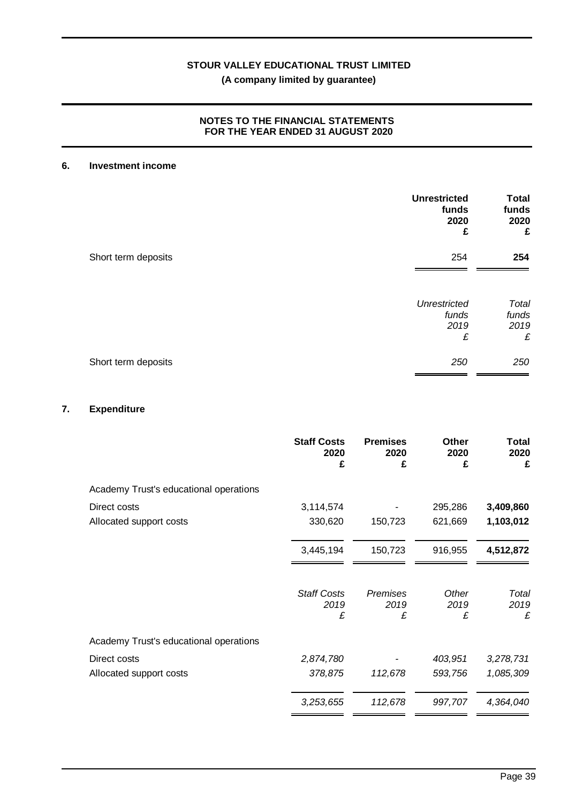## **(A company limited by guarantee)**

### **NOTES TO THE FINANCIAL STATEMENTS FOR THE YEAR ENDED 31 AUGUST 2020**

### **6. Investment income**

|                     | <b>Unrestricted</b><br>funds<br>2020<br>£ | <b>Total</b><br>funds<br>2020<br>£ |
|---------------------|-------------------------------------------|------------------------------------|
| Short term deposits | 254                                       | 254                                |
|                     | Unrestricted<br>funds<br>2019<br>£        | Total<br>funds<br>2019<br>£        |
| Short term deposits | 250                                       | 250                                |

### **7. Expenditure**

|                                        | <b>Staff Costs</b><br>2020<br>£ | <b>Premises</b><br>2020<br>£ | <b>Other</b><br>2020<br>£ | <b>Total</b><br>2020<br>£ |
|----------------------------------------|---------------------------------|------------------------------|---------------------------|---------------------------|
| Academy Trust's educational operations |                                 |                              |                           |                           |
| Direct costs                           | 3,114,574                       |                              | 295,286                   | 3,409,860                 |
| Allocated support costs                | 330,620                         | 150,723                      | 621,669                   | 1,103,012                 |
|                                        | 3,445,194                       | 150,723                      | 916,955                   | 4,512,872                 |
|                                        | <b>Staff Costs</b><br>2019<br>£ | Premises<br>2019<br>£        | Other<br>2019<br>£        | Total<br>2019<br>£        |
| Academy Trust's educational operations |                                 |                              |                           |                           |
| Direct costs                           | 2,874,780                       |                              | 403,951                   | 3,278,731                 |
| Allocated support costs                | 378,875                         | 112,678                      | 593,756                   | 1,085,309                 |
|                                        | 3,253,655                       | 112,678                      | 997,707                   | 4,364,040                 |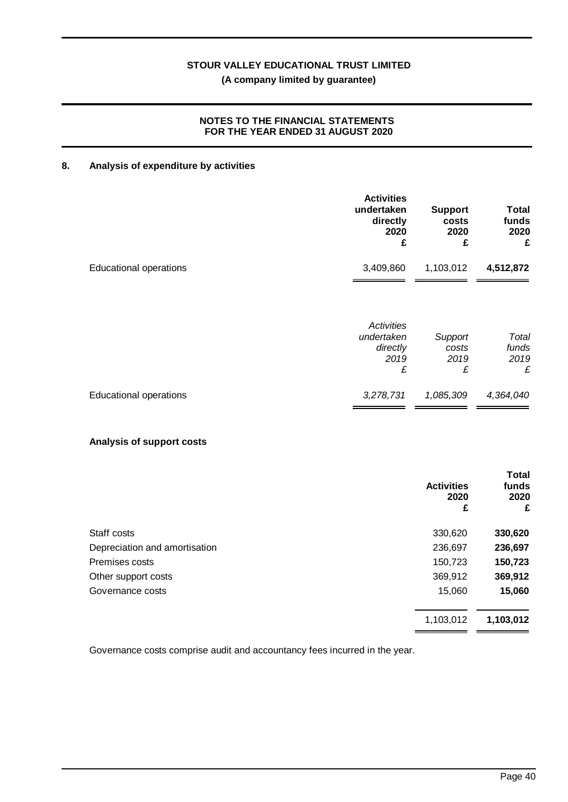## **(A company limited by guarantee)**

### **NOTES TO THE FINANCIAL STATEMENTS FOR THE YEAR ENDED 31 AUGUST 2020**

### **8. Analysis of expenditure by activities**

|                               | <b>Activities</b><br>undertaken<br>directly<br>2020<br>£ | <b>Support</b><br>costs<br>2020<br>£ | Total<br>funds<br>2020<br>£ |
|-------------------------------|----------------------------------------------------------|--------------------------------------|-----------------------------|
| <b>Educational operations</b> | 3,409,860                                                | 1,103,012                            | 4,512,872                   |
|                               | Activities<br>undertaken<br>directly<br>2019<br>£        | Support<br>costs<br>2019<br>£        | Total<br>funds<br>2019<br>£ |
| <b>Educational operations</b> | 3,278,731                                                | 1,085,309                            | 4,364,040                   |

### **Analysis of support costs**

|                               | <b>Activities</b><br>2020<br>£ | <b>Total</b><br>funds<br>2020<br>£ |
|-------------------------------|--------------------------------|------------------------------------|
| Staff costs                   | 330,620                        | 330,620                            |
| Depreciation and amortisation | 236,697                        | 236,697                            |
| Premises costs                | 150,723                        | 150,723                            |
| Other support costs           | 369,912                        | 369,912                            |
| Governance costs              | 15,060                         | 15,060                             |
|                               | 1,103,012                      | 1,103,012                          |

Governance costs comprise audit and accountancy fees incurred in the year.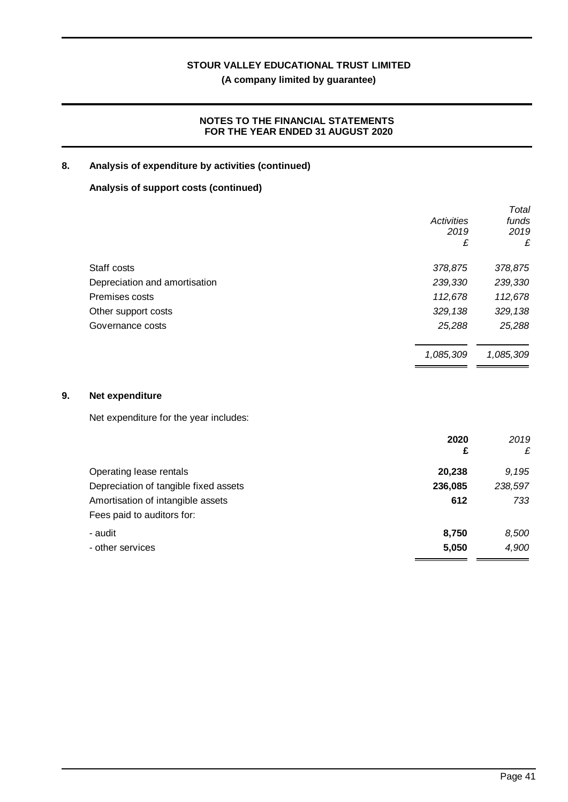**(A company limited by guarantee)**

### **NOTES TO THE FINANCIAL STATEMENTS FOR THE YEAR ENDED 31 AUGUST 2020**

### **8. Analysis of expenditure by activities (continued)**

## **Analysis of support costs (continued)**

|            | Total                                     |
|------------|-------------------------------------------|
| Activities | funds                                     |
| 2019       | 2019                                      |
| £          | £                                         |
| 378,875    | 378,875                                   |
| 239,330    | 239,330                                   |
|            | 112,678                                   |
|            | 329,138                                   |
|            | 25,288                                    |
|            | 1,085,309                                 |
|            | 112,678<br>329,138<br>25,288<br>1,085,309 |

### **9. Net expenditure**

Net expenditure for the year includes:

|                                       | 2020<br>£ | 2019<br>£ |
|---------------------------------------|-----------|-----------|
| Operating lease rentals               | 20,238    | 9.195     |
| Depreciation of tangible fixed assets | 236,085   | 238,597   |
| Amortisation of intangible assets     | 612       | 733       |
| Fees paid to auditors for:            |           |           |
| - audit                               | 8,750     | 8,500     |
| - other services                      | 5,050     | 4,900     |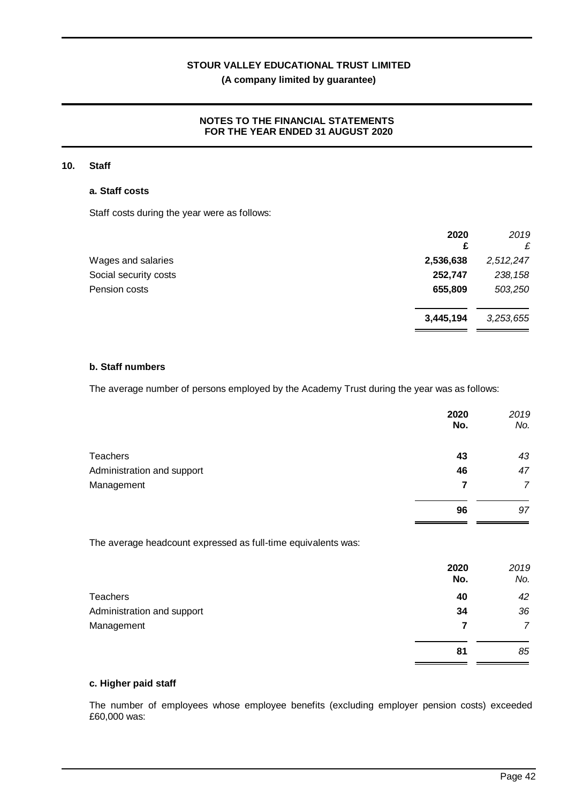### **NOTES TO THE FINANCIAL STATEMENTS FOR THE YEAR ENDED 31 AUGUST 2020**

### **10. Staff**

### **a. Staff costs**

Staff costs during the year were as follows:

|                       | 2020<br>£ | 2019<br>£ |
|-----------------------|-----------|-----------|
| Wages and salaries    | 2,536,638 | 2,512,247 |
| Social security costs | 252,747   | 238,158   |
| Pension costs         | 655,809   | 503,250   |
|                       | 3,445,194 | 3,253,655 |

### **b. Staff numbers**

The average number of persons employed by the Academy Trust during the year was as follows:

|                                                               | 2020<br>No. | 2019<br>No.    |
|---------------------------------------------------------------|-------------|----------------|
| <b>Teachers</b>                                               | 43          | 43             |
| Administration and support                                    | 46          | 47             |
| Management                                                    | 7           | $\overline{7}$ |
|                                                               | 96          | 97             |
| The average headcount expressed as full-time equivalents was: |             |                |
|                                                               | 2020<br>No. | 2019<br>No.    |
| <b>Teachers</b>                                               | 40          | 42             |
| Administration and support                                    | 34          | 36             |
| Management                                                    | 7           | $\overline{7}$ |
|                                                               | 81          | 85             |

### **c. Higher paid staff**

The number of employees whose employee benefits (excluding employer pension costs) exceeded £60,000 was: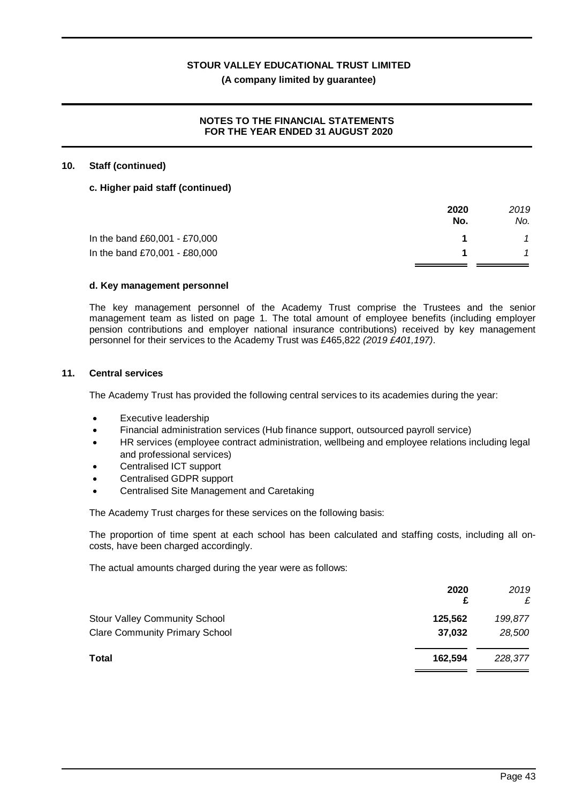### **(A company limited by guarantee)**

### **NOTES TO THE FINANCIAL STATEMENTS FOR THE YEAR ENDED 31 AUGUST 2020**

### **10. Staff (continued)**

### **c. Higher paid staff (continued)**

|                               | 2020<br>No. | 2019<br>No. |
|-------------------------------|-------------|-------------|
| In the band £60,001 - £70,000 |             |             |
| In the band £70,001 - £80,000 |             |             |
|                               |             |             |

### **d. Key management personnel**

The key management personnel of the Academy Trust comprise the Trustees and the senior management team as listed on page 1. The total amount of employee benefits (including employer pension contributions and employer national insurance contributions) received by key management personnel for their services to the Academy Trust was £465,822 *(2019 £401,197)*.

### **11. Central services**

The Academy Trust has provided the following central services to its academies during the year:

- Executive leadership
- · Financial administration services (Hub finance support, outsourced payroll service)
- HR services (employee contract administration, wellbeing and employee relations including legal and professional services)
- Centralised ICT support
- Centralised GDPR support
- · Centralised Site Management and Caretaking

The Academy Trust charges for these services on the following basis:

The proportion of time spent at each school has been calculated and staffing costs, including all oncosts, have been charged accordingly.

The actual amounts charged during the year were as follows:

|                                       | 2020<br>£ | 2019<br>£ |
|---------------------------------------|-----------|-----------|
| <b>Stour Valley Community School</b>  | 125,562   | 199,877   |
| <b>Clare Community Primary School</b> | 37,032    | 28,500    |
| <b>Total</b>                          | 162.594   | 228,377   |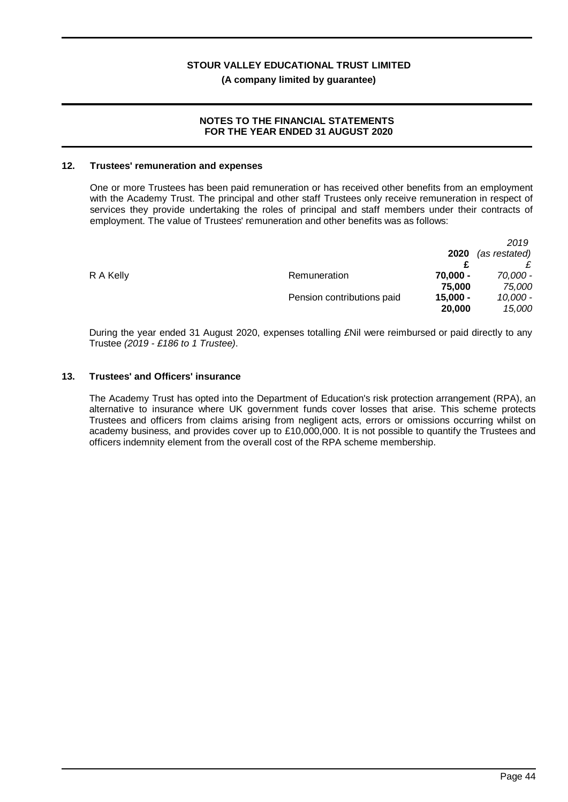### **NOTES TO THE FINANCIAL STATEMENTS FOR THE YEAR ENDED 31 AUGUST 2020**

### **12. Trustees' remuneration and expenses**

One or more Trustees has been paid remuneration or has received other benefits from an employment with the Academy Trust. The principal and other staff Trustees only receive remuneration in respect of services they provide undertaking the roles of principal and staff members under their contracts of employment. The value of Trustees' remuneration and other benefits was as follows:

|           |                            |            | 2019          |
|-----------|----------------------------|------------|---------------|
|           |                            | 2020       | (as restated) |
|           |                            |            |               |
| R A Kelly | Remuneration               | $70,000 -$ | 70,000 -      |
|           |                            | 75,000     | 75,000        |
|           | Pension contributions paid | $15,000 -$ | $10,000 -$    |
|           |                            | 20,000     | 15,000        |
|           |                            |            |               |

During the year ended 31 August 2020, expenses totalling *£*Nil were reimbursed or paid directly to any Trustee *(2019 - £186 to 1 Trustee)*.

### **13. Trustees' and Officers' insurance**

The Academy Trust has opted into the Department of Education's risk protection arrangement (RPA), an alternative to insurance where UK government funds cover losses that arise. This scheme protects Trustees and officers from claims arising from negligent acts, errors or omissions occurring whilst on academy business, and provides cover up to £10,000,000. It is not possible to quantify the Trustees and officers indemnity element from the overall cost of the RPA scheme membership.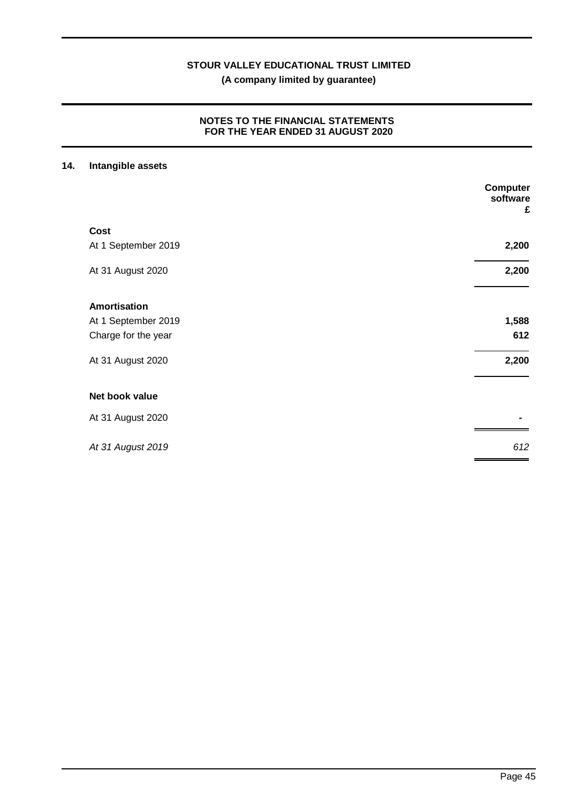**(A company limited by guarantee)**

### **NOTES TO THE FINANCIAL STATEMENTS FOR THE YEAR ENDED 31 AUGUST 2020**

## **14. Intangible assets**

|                     | <b>Computer</b><br>software<br>£ |
|---------------------|----------------------------------|
| <b>Cost</b>         |                                  |
| At 1 September 2019 | 2,200                            |
| At 31 August 2020   | 2,200                            |
| <b>Amortisation</b> |                                  |
| At 1 September 2019 | 1,588                            |
| Charge for the year | 612                              |
| At 31 August 2020   | 2,200                            |
| Net book value      |                                  |
| At 31 August 2020   |                                  |
| At 31 August 2019   | 612                              |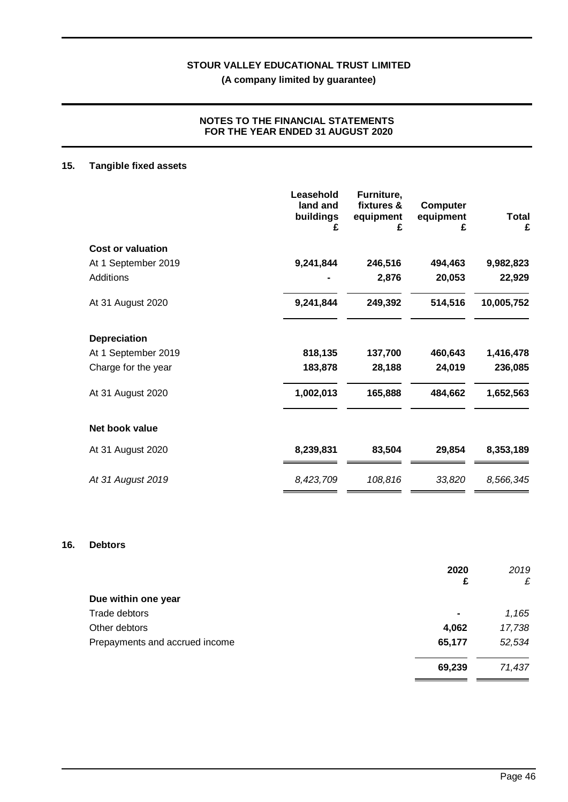### **NOTES TO THE FINANCIAL STATEMENTS FOR THE YEAR ENDED 31 AUGUST 2020**

## **15. Tangible fixed assets**

| Leasehold<br>land and<br>buildings<br>£ | Furniture,<br>fixtures &<br>equipment<br>£ | <b>Computer</b><br>equipment<br>£ | <b>Total</b><br>£ |
|-----------------------------------------|--------------------------------------------|-----------------------------------|-------------------|
|                                         |                                            |                                   |                   |
| 9,241,844                               | 246,516                                    | 494,463                           | 9,982,823         |
|                                         | 2,876                                      | 20,053                            | 22,929            |
| 9,241,844                               | 249,392                                    | 514,516                           | 10,005,752        |
|                                         |                                            |                                   |                   |
| 818,135                                 | 137,700                                    | 460,643                           | 1,416,478         |
| 183,878                                 | 28,188                                     | 24,019                            | 236,085           |
| 1,002,013                               | 165,888                                    | 484,662                           | 1,652,563         |
|                                         |                                            |                                   |                   |
| 8,239,831                               | 83,504                                     | 29,854                            | 8,353,189         |
| 8,423,709                               | 108,816                                    | 33,820                            | 8,566,345         |
|                                         |                                            |                                   |                   |

### **16. Debtors**

|                                | 2020           | 2019   |
|--------------------------------|----------------|--------|
|                                | £              | £      |
| Due within one year            |                |        |
| Trade debtors                  | $\blacksquare$ | 1,165  |
| Other debtors                  | 4,062          | 17,738 |
| Prepayments and accrued income | 65,177         | 52,534 |
|                                | 69,239         | 71,437 |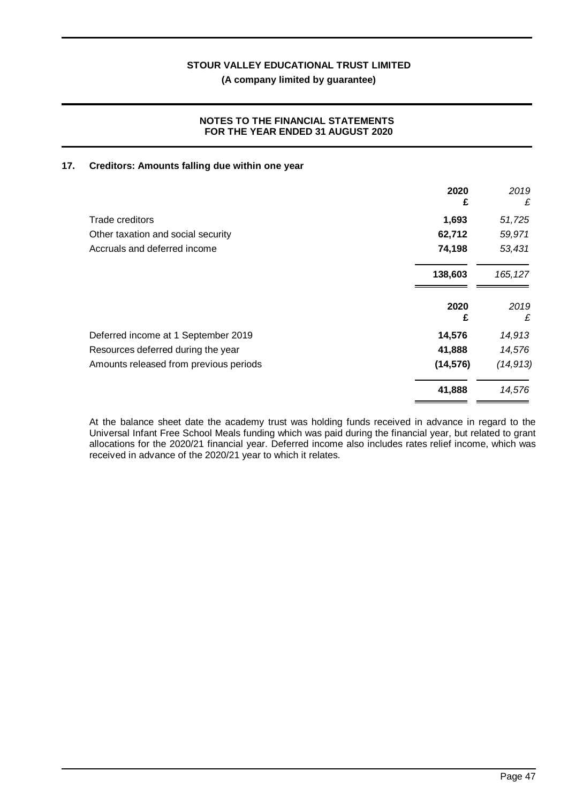**(A company limited by guarantee)**

### **NOTES TO THE FINANCIAL STATEMENTS FOR THE YEAR ENDED 31 AUGUST 2020**

### **17. Creditors: Amounts falling due within one year**

|                                        | 2020<br>£ | 2019<br>£ |
|----------------------------------------|-----------|-----------|
| <b>Trade creditors</b>                 | 1,693     | 51,725    |
| Other taxation and social security     | 62,712    | 59,971    |
| Accruals and deferred income           | 74,198    | 53,431    |
|                                        | 138,603   | 165, 127  |
|                                        | 2020<br>£ | 2019<br>£ |
| Deferred income at 1 September 2019    | 14,576    | 14,913    |
| Resources deferred during the year     | 41,888    | 14,576    |
| Amounts released from previous periods | (14, 576) | (14, 913) |
|                                        | 41,888    | 14,576    |
|                                        |           |           |

At the balance sheet date the academy trust was holding funds received in advance in regard to the Universal Infant Free School Meals funding which was paid during the financial year, but related to grant allocations for the 2020/21 financial year. Deferred income also includes rates relief income, which was received in advance of the 2020/21 year to which it relates.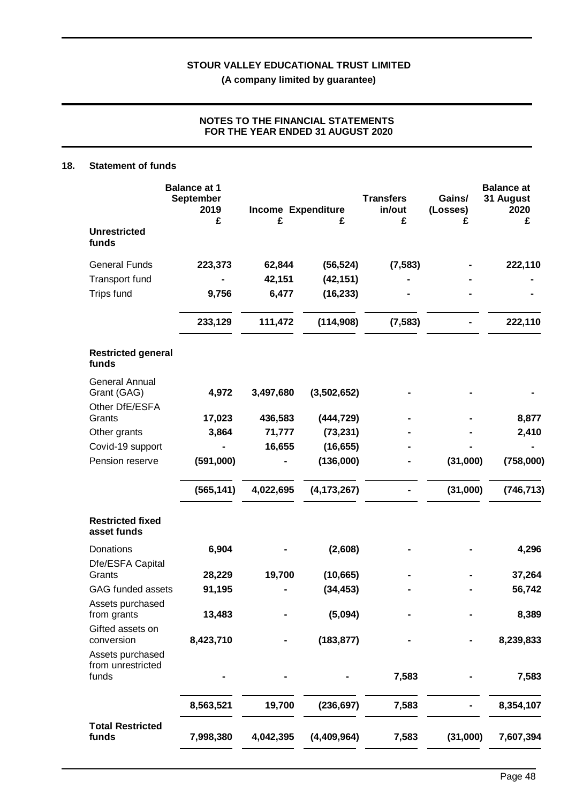### **NOTES TO THE FINANCIAL STATEMENTS FOR THE YEAR ENDED 31 AUGUST 2020**

### **18. Statement of funds**

|                                                        | <b>Balance at 1</b><br><b>September</b><br>2019<br>£ | Income Expenditure<br>£ | £             | <b>Transfers</b><br>in/out<br>£ | Gains/<br>(Losses)<br>£ | <b>Balance at</b><br>31 August<br>2020<br>£ |
|--------------------------------------------------------|------------------------------------------------------|-------------------------|---------------|---------------------------------|-------------------------|---------------------------------------------|
| <b>Unrestricted</b><br>funds                           |                                                      |                         |               |                                 |                         |                                             |
| <b>General Funds</b>                                   | 223,373                                              | 62,844                  | (56, 524)     | (7, 583)                        |                         | 222,110                                     |
| <b>Transport fund</b>                                  |                                                      | 42,151                  | (42, 151)     |                                 |                         |                                             |
| <b>Trips fund</b>                                      | 9,756                                                | 6,477                   | (16, 233)     |                                 |                         |                                             |
|                                                        | 233,129                                              | 111,472                 | (114,908)     | (7, 583)                        |                         | 222,110                                     |
| <b>Restricted general</b><br>funds                     |                                                      |                         |               |                                 |                         |                                             |
| <b>General Annual</b><br>Grant (GAG)<br>Other DfE/ESFA | 4,972                                                | 3,497,680               | (3,502,652)   |                                 |                         |                                             |
| Grants                                                 | 17,023                                               | 436,583                 | (444, 729)    |                                 |                         | 8,877                                       |
| Other grants                                           | 3,864                                                | 71,777                  | (73, 231)     |                                 |                         | 2,410                                       |
| Covid-19 support                                       |                                                      | 16,655                  | (16, 655)     |                                 |                         |                                             |
| Pension reserve                                        | (591,000)                                            |                         | (136,000)     |                                 | (31,000)                | (758,000)                                   |
|                                                        | (565, 141)                                           | 4,022,695               | (4, 173, 267) |                                 | (31,000)                | (746, 713)                                  |
| <b>Restricted fixed</b><br>asset funds                 |                                                      |                         |               |                                 |                         |                                             |
| Donations<br>Dfe/ESFA Capital                          | 6,904                                                |                         | (2,608)       |                                 |                         | 4,296                                       |
| Grants                                                 | 28,229                                               | 19,700                  | (10, 665)     |                                 |                         | 37,264                                      |
| <b>GAG funded assets</b>                               | 91,195                                               |                         | (34, 453)     |                                 |                         | 56,742                                      |
| Assets purchased<br>from grants                        | 13,483                                               |                         | (5,094)       |                                 |                         | 8,389                                       |
| Gifted assets on<br>conversion                         | 8,423,710                                            |                         | (183, 877)    |                                 |                         | 8,239,833                                   |
| Assets purchased<br>from unrestricted<br>funds         |                                                      |                         |               | 7,583                           |                         | 7,583                                       |
|                                                        | 8,563,521                                            | 19,700                  | (236, 697)    | 7,583                           |                         | 8,354,107                                   |
| <b>Total Restricted</b><br>funds                       | 7,998,380                                            | 4,042,395               | (4,409,964)   | 7,583                           | (31,000)                | 7,607,394                                   |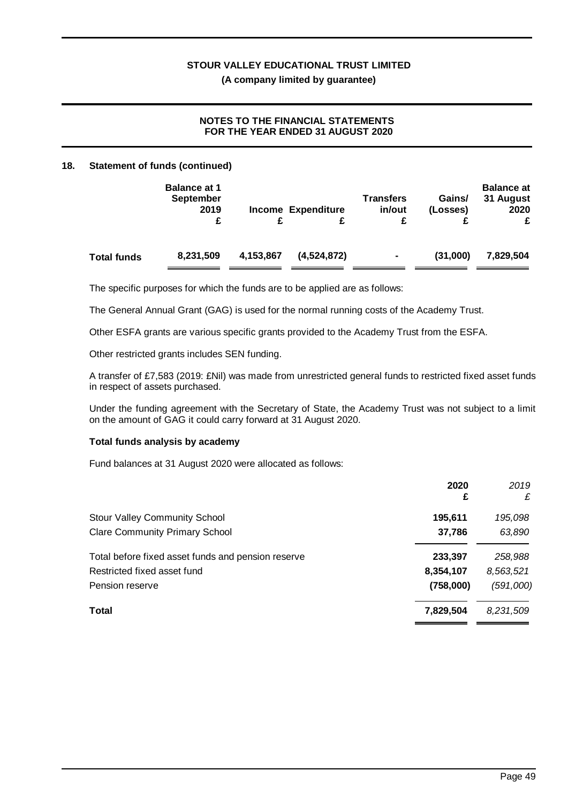### **NOTES TO THE FINANCIAL STATEMENTS FOR THE YEAR ENDED 31 AUGUST 2020**

### **18. Statement of funds (continued)**

|                    | <b>Balance at 1</b><br><b>September</b><br>2019<br>£ |           | <b>Income Expenditure</b> | Transfers<br>in/out | Gains/<br>(Losses) | <b>Balance at</b><br>31 August<br>2020<br>£ |
|--------------------|------------------------------------------------------|-----------|---------------------------|---------------------|--------------------|---------------------------------------------|
| <b>Total funds</b> | 8,231,509                                            | 4,153,867 | (4,524,872)               | $\blacksquare$      | (31,000)           | 7,829,504                                   |

The specific purposes for which the funds are to be applied are as follows:

The General Annual Grant (GAG) is used for the normal running costs of the Academy Trust.

Other ESFA grants are various specific grants provided to the Academy Trust from the ESFA.

Other restricted grants includes SEN funding.

A transfer of £7,583 (2019: £Nil) was made from unrestricted general funds to restricted fixed asset funds in respect of assets purchased.

Under the funding agreement with the Secretary of State, the Academy Trust was not subject to a limit on the amount of GAG it could carry forward at 31 August 2020.

### **Total funds analysis by academy**

Fund balances at 31 August 2020 were allocated as follows:

|                                                    | 2020<br>£ | 2019<br>£ |
|----------------------------------------------------|-----------|-----------|
| Stour Valley Community School                      | 195,611   | 195,098   |
| <b>Clare Community Primary School</b>              | 37,786    | 63,890    |
| Total before fixed asset funds and pension reserve | 233,397   | 258,988   |
| Restricted fixed asset fund                        | 8,354,107 | 8,563,521 |
| Pension reserve                                    | (758,000) | (591,000) |
| Total                                              | 7,829,504 | 8,231,509 |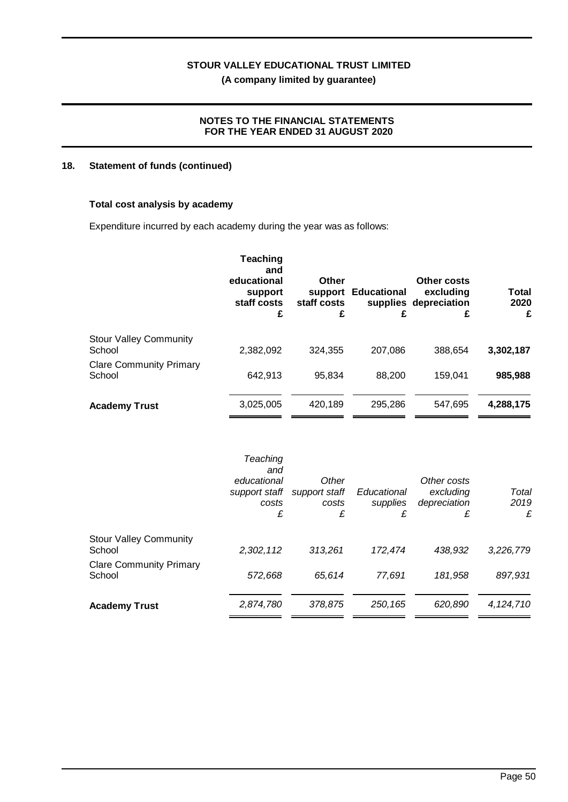### **NOTES TO THE FINANCIAL STATEMENTS FOR THE YEAR ENDED 31 AUGUST 2020**

### **18. Statement of funds (continued)**

### **Total cost analysis by academy**

Expenditure incurred by each academy during the year was as follows:

|                                          | <b>Teaching</b><br>and<br>educational<br>support<br>staff costs<br>£ | Other<br>staff costs<br>£ | support Educational<br>£ | Other costs<br>excluding<br>supplies depreciation<br>£ | Total<br>2020<br>£ |
|------------------------------------------|----------------------------------------------------------------------|---------------------------|--------------------------|--------------------------------------------------------|--------------------|
| <b>Stour Valley Community</b><br>School  | 2.382.092                                                            | 324,355                   | 207,086                  | 388,654                                                | 3,302,187          |
| <b>Clare Community Primary</b><br>School | 642,913                                                              | 95,834                    | 88,200                   | 159.041                                                | 985,988            |
| <b>Academy Trust</b>                     | 3,025,005                                                            | 420,189                   | 295,286                  | 547.695                                                | 4,288,175          |

|                                          | Teaching<br>and<br>educational<br>support staff<br>costs<br>£ | Other<br>support staff<br>costs<br>£ | Educational<br>supplies<br>£ | Other costs<br>excluding<br>depreciation<br>£ | Total<br>2019<br>£ |
|------------------------------------------|---------------------------------------------------------------|--------------------------------------|------------------------------|-----------------------------------------------|--------------------|
| <b>Stour Valley Community</b><br>School  | 2,302,112                                                     | 313,261                              | 172,474                      | 438.932                                       | 3,226,779          |
| <b>Clare Community Primary</b><br>School | 572,668                                                       | 65,614                               | 77,691                       | 181,958                                       | 897,931            |
| <b>Academy Trust</b>                     | 2,874,780                                                     | 378,875                              | 250,165                      | 620,890                                       | 4,124,710          |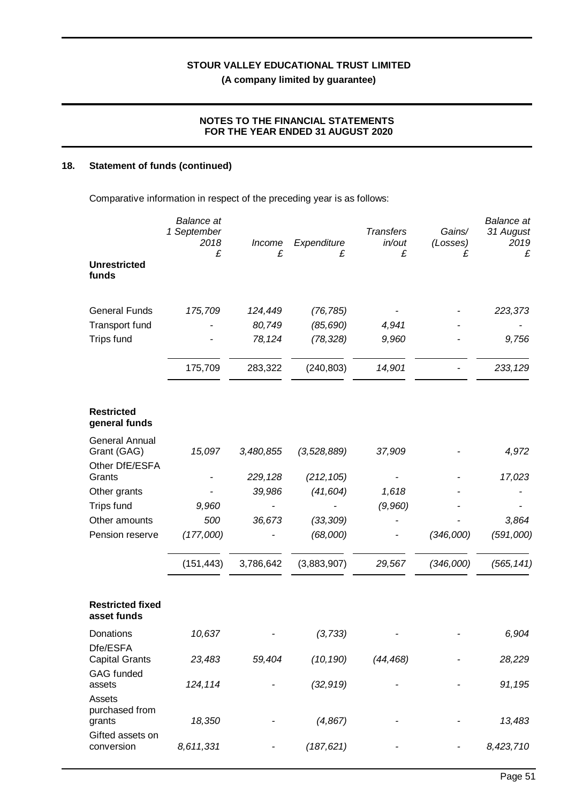### **NOTES TO THE FINANCIAL STATEMENTS FOR THE YEAR ENDED 31 AUGUST 2020**

## **18. Statement of funds (continued)**

Comparative information in respect of the preceding year is as follows:

| <b>Unrestricted</b><br>funds                           | <b>Balance</b> at<br>1 September<br>2018<br>£ | Income<br>£ | Expenditure<br>£ | <b>Transfers</b><br>in/out<br>£ | Gains/<br>(Losses)<br>£ | <b>Balance</b> at<br>31 August<br>2019<br>£ |
|--------------------------------------------------------|-----------------------------------------------|-------------|------------------|---------------------------------|-------------------------|---------------------------------------------|
| <b>General Funds</b>                                   | 175,709                                       | 124,449     | (76, 785)        |                                 |                         | 223,373                                     |
| <b>Transport fund</b>                                  |                                               | 80,749      | (85, 690)        | 4,941                           |                         |                                             |
| <b>Trips fund</b>                                      |                                               | 78,124      | (78, 328)        | 9,960                           |                         | 9,756                                       |
|                                                        | 175,709                                       | 283,322     | (240, 803)       | 14,901                          |                         | 233,129                                     |
| <b>Restricted</b><br>general funds                     |                                               |             |                  |                                 |                         |                                             |
| <b>General Annual</b><br>Grant (GAG)<br>Other DfE/ESFA | 15,097                                        | 3,480,855   | (3, 528, 889)    | 37,909                          |                         | 4,972                                       |
| Grants                                                 |                                               | 229,128     | (212, 105)       |                                 |                         | 17,023                                      |
| Other grants                                           |                                               | 39,986      | (41, 604)        | 1,618                           |                         |                                             |
| <b>Trips fund</b>                                      | 9,960                                         |             |                  | (9,960)                         |                         |                                             |
| Other amounts                                          | 500                                           | 36,673      | (33, 309)        |                                 |                         | 3,864                                       |
| Pension reserve                                        | (177,000)                                     |             | (68,000)         |                                 | (346,000)               | (591,000)                                   |
|                                                        | (151, 443)                                    | 3,786,642   | (3,883,907)      | 29,567                          | (346,000)               | (565, 141)                                  |
| <b>Restricted fixed</b><br>asset funds                 |                                               |             |                  |                                 |                         |                                             |
| Donations                                              | 10,637                                        |             | (3, 733)         |                                 |                         | 6,904                                       |
| Dfe/ESFA<br><b>Capital Grants</b>                      | 23,483                                        | 59,404      | (10, 190)        | (44, 468)                       |                         | 28,229                                      |
| <b>GAG</b> funded<br>assets                            | 124,114                                       |             | (32, 919)        |                                 |                         | 91,195                                      |
| Assets<br>purchased from<br>grants                     | 18,350                                        |             | (4, 867)         |                                 |                         | 13,483                                      |
| Gifted assets on<br>conversion                         | 8,611,331                                     |             | (187, 621)       |                                 |                         | 8,423,710                                   |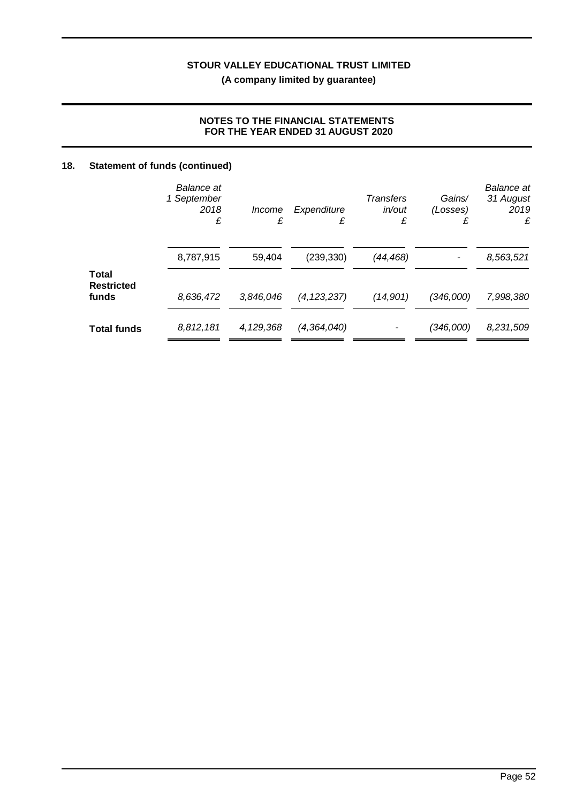## **NOTES TO THE FINANCIAL STATEMENTS FOR THE YEAR ENDED 31 AUGUST 2020**

## **18. Statement of funds (continued)**

|                                     | <b>Balance</b> at<br>1 September<br>2018<br>£ | Income<br>£ | Expenditure<br>£ | <b>Transfers</b><br>in/out<br>£ | Gains/<br>(Losses) | <b>Balance</b> at<br>31 August<br>2019<br>£ |
|-------------------------------------|-----------------------------------------------|-------------|------------------|---------------------------------|--------------------|---------------------------------------------|
|                                     | 8,787,915                                     | 59,404      | (239, 330)       | (44,468)                        |                    | 8,563,521                                   |
| Total<br><b>Restricted</b><br>funds | 8,636,472                                     | 3,846,046   | (4, 123, 237)    | (14,901)                        | (346,000)          | 7,998,380                                   |
| <b>Total funds</b>                  | 8,812,181                                     | 4,129,368   | (4, 364, 040)    |                                 | (346,000)          | 8,231,509                                   |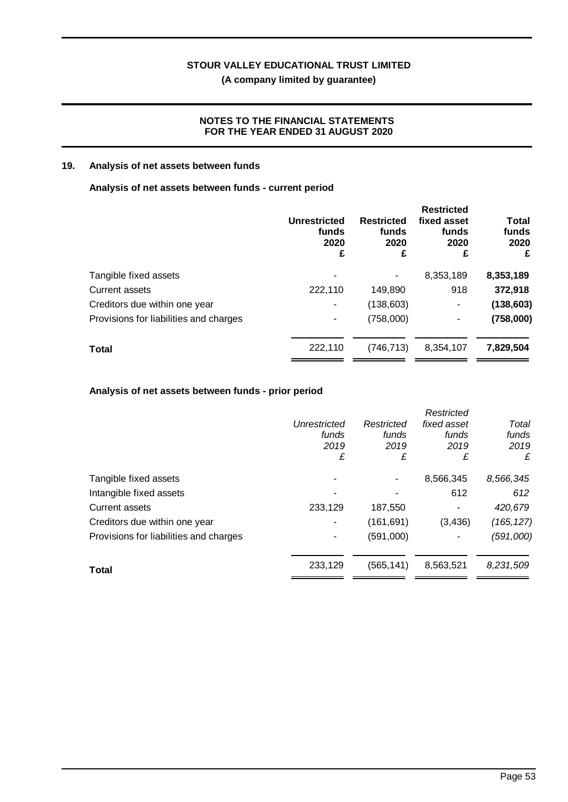**(A company limited by guarantee)**

### **NOTES TO THE FINANCIAL STATEMENTS FOR THE YEAR ENDED 31 AUGUST 2020**

### **19. Analysis of net assets between funds**

### **Analysis of net assets between funds - current period**

|                                        | Unrestricted<br>funds<br>2020<br>£ | <b>Restricted</b><br>funds<br>2020<br>£ | <b>Restricted</b><br>fixed asset<br>funds<br>2020<br>£ | Total<br>funds<br>2020<br>£ |
|----------------------------------------|------------------------------------|-----------------------------------------|--------------------------------------------------------|-----------------------------|
| Tangible fixed assets                  |                                    |                                         | 8,353,189                                              | 8,353,189                   |
| <b>Current assets</b>                  | 222,110                            | 149,890                                 | 918                                                    | 372,918                     |
| Creditors due within one year          | ۰                                  | (138, 603)                              | ۰                                                      | (138, 603)                  |
| Provisions for liabilities and charges | ۰                                  | (758,000)                               | ۰                                                      | (758,000)                   |
| <b>Total</b>                           | 222,110                            | (746, 713)                              | 8,354,107                                              | 7,829,504                   |

### **Analysis of net assets between funds - prior period**

|                                        |              |            | Restricted  |            |
|----------------------------------------|--------------|------------|-------------|------------|
|                                        | Unrestricted | Restricted | fixed asset | Total      |
|                                        | funds        | funds      | funds       | funds      |
|                                        | 2019         | 2019       | 2019        | 2019       |
|                                        | £            | £          | £           | £          |
| Tangible fixed assets                  |              |            | 8,566,345   | 8,566,345  |
| Intangible fixed assets                |              |            | 612         | 612        |
| Current assets                         | 233,129      | 187,550    |             | 420,679    |
| Creditors due within one year          | ۰            | (161, 691) | (3, 436)    | (165, 127) |
| Provisions for liabilities and charges |              | (591,000)  |             | (591,000)  |
| <b>Total</b>                           | 233,129      | (565, 141) | 8,563,521   | 8,231,509  |
|                                        |              |            |             |            |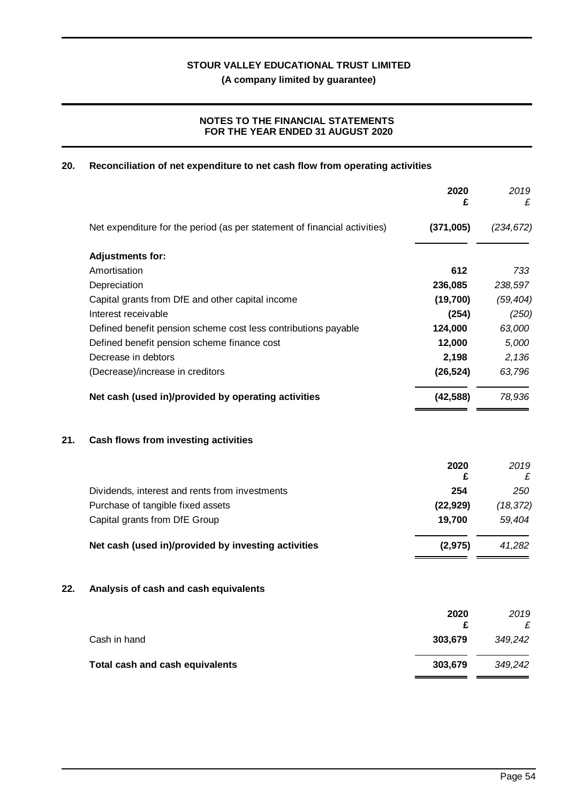**(A company limited by guarantee)**

## **NOTES TO THE FINANCIAL STATEMENTS FOR THE YEAR ENDED 31 AUGUST 2020**

## **20. Reconciliation of net expenditure to net cash flow from operating activities**

|     |                                                                           | 2020<br>£ | 2019<br>£  |
|-----|---------------------------------------------------------------------------|-----------|------------|
|     | Net expenditure for the period (as per statement of financial activities) | (371,005) | (234, 672) |
|     | <b>Adjustments for:</b>                                                   |           |            |
|     | Amortisation                                                              | 612       | 733        |
|     | Depreciation                                                              | 236,085   | 238,597    |
|     | Capital grants from DfE and other capital income                          | (19,700)  | (59, 404)  |
|     | Interest receivable                                                       | (254)     | (250)      |
|     | Defined benefit pension scheme cost less contributions payable            | 124,000   | 63,000     |
|     | Defined benefit pension scheme finance cost                               | 12,000    | 5,000      |
|     | Decrease in debtors                                                       | 2,198     | 2,136      |
|     | (Decrease)/increase in creditors                                          | (26, 524) | 63,796     |
|     | Net cash (used in)/provided by operating activities                       | (42, 588) | 78,936     |
| 21. | Cash flows from investing activities                                      |           |            |
|     |                                                                           | 2020      | 2019       |
|     |                                                                           | £         | £          |
|     | Dividends, interest and rents from investments                            | 254       | 250        |
|     | Purchase of tangible fixed assets                                         | (22, 929) | (18, 372)  |
|     | Capital grants from DfE Group                                             | 19,700    | 59,404     |
|     | Net cash (used in)/provided by investing activities                       | (2, 975)  | 41,282     |
| 22. | Analysis of cash and cash equivalents                                     |           |            |
|     |                                                                           | 2020      | 2019       |
|     |                                                                           | £         | £          |
|     | Cash in hand                                                              | 303,679   | 349,242    |
|     | Total cash and cash equivalents                                           | 303,679   | 349,242    |
|     |                                                                           |           |            |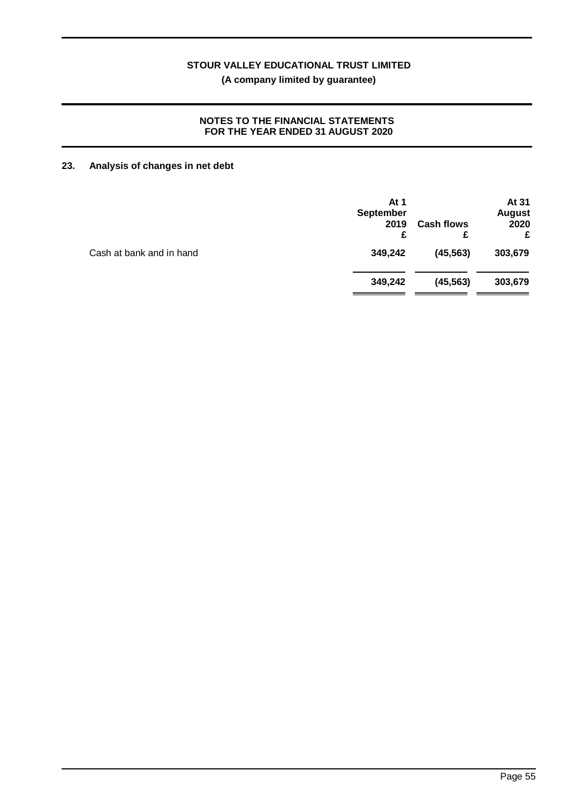### **NOTES TO THE FINANCIAL STATEMENTS FOR THE YEAR ENDED 31 AUGUST 2020**

## **23. Analysis of changes in net debt**

|                          | At $1$<br><b>September</b><br>2019<br>£ | <b>Cash flows</b><br>£ | At 31<br><b>August</b><br>2020<br>£ |
|--------------------------|-----------------------------------------|------------------------|-------------------------------------|
| Cash at bank and in hand | 349,242                                 | (45, 563)              | 303,679                             |
|                          | 349,242                                 | (45, 563)              | 303,679                             |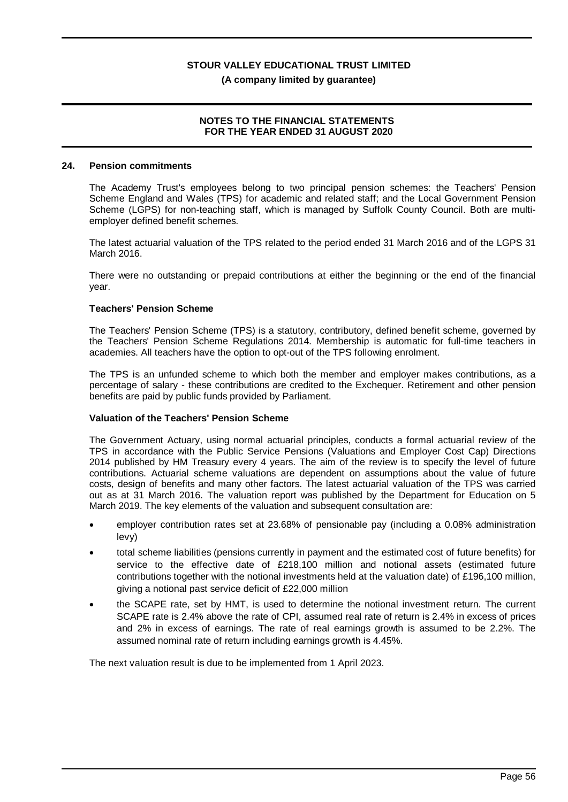### **NOTES TO THE FINANCIAL STATEMENTS FOR THE YEAR ENDED 31 AUGUST 2020**

### **24. Pension commitments**

The Academy Trust's employees belong to two principal pension schemes: the Teachers' Pension Scheme England and Wales (TPS) for academic and related staff; and the Local Government Pension Scheme (LGPS) for non-teaching staff, which is managed by Suffolk County Council. Both are multiemployer defined benefit schemes.

The latest actuarial valuation of the TPS related to the period ended 31 March 2016 and of the LGPS 31 March 2016.

There were no outstanding or prepaid contributions at either the beginning or the end of the financial year.

### **Teachers' Pension Scheme**

The Teachers' Pension Scheme (TPS) is a statutory, contributory, defined benefit scheme, governed by the Teachers' Pension Scheme Regulations 2014. Membership is automatic for full-time teachers in academies. All teachers have the option to opt-out of the TPS following enrolment.

The TPS is an unfunded scheme to which both the member and employer makes contributions, as a percentage of salary - these contributions are credited to the Exchequer. Retirement and other pension benefits are paid by public funds provided by Parliament.

### **Valuation of the Teachers' Pension Scheme**

The Government Actuary, using normal actuarial principles, conducts a formal actuarial review of the TPS in accordance with the Public Service Pensions (Valuations and Employer Cost Cap) Directions 2014 published by HM Treasury every 4 years. The aim of the review is to specify the level of future contributions. Actuarial scheme valuations are dependent on assumptions about the value of future costs, design of benefits and many other factors. The latest actuarial valuation of the TPS was carried out as at 31 March 2016. The valuation report was published by the Department for Education on 5 March 2019. The key elements of the valuation and subsequent consultation are:

- · employer contribution rates set at 23.68% of pensionable pay (including a 0.08% administration levy)
- · total scheme liabilities (pensions currently in payment and the estimated cost of future benefits) for service to the effective date of £218,100 million and notional assets (estimated future contributions together with the notional investments held at the valuation date) of £196,100 million, giving a notional past service deficit of £22,000 million
- the SCAPE rate, set by HMT, is used to determine the notional investment return. The current SCAPE rate is 2.4% above the rate of CPI, assumed real rate of return is 2.4% in excess of prices and 2% in excess of earnings. The rate of real earnings growth is assumed to be 2.2%. The assumed nominal rate of return including earnings growth is 4.45%.

The next valuation result is due to be implemented from 1 April 2023.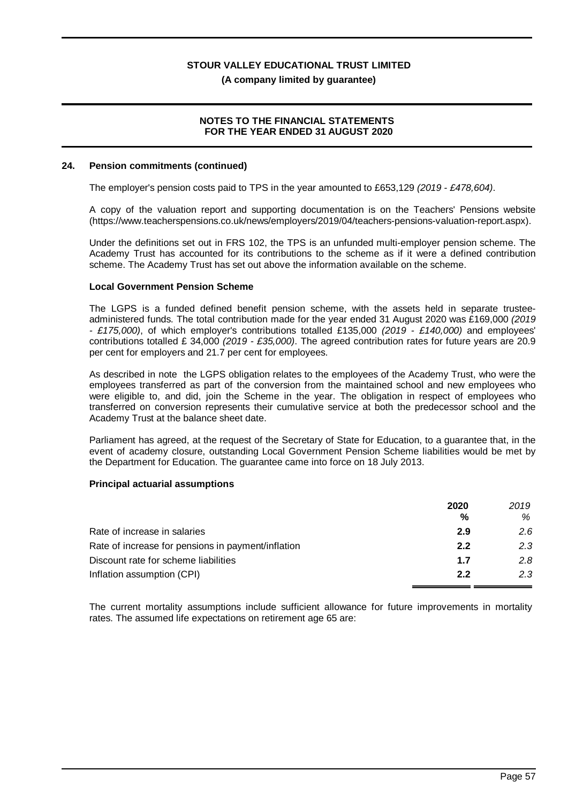### **(A company limited by guarantee)**

### **NOTES TO THE FINANCIAL STATEMENTS FOR THE YEAR ENDED 31 AUGUST 2020**

### **24. Pension commitments (continued)**

The employer's pension costs paid to TPS in the year amounted to £653,129 *(2019 - £478,604)*.

A copy of the valuation report and supporting documentation is on the Teachers' Pensions website (https://www.teacherspensions.co.uk/news/employers/2019/04/teachers-pensions-valuation-report.aspx).

Under the definitions set out in FRS 102, the TPS is an unfunded multi-employer pension scheme. The Academy Trust has accounted for its contributions to the scheme as if it were a defined contribution scheme. The Academy Trust has set out above the information available on the scheme.

### **Local Government Pension Scheme**

The LGPS is a funded defined benefit pension scheme, with the assets held in separate trusteeadministered funds. The total contribution made for the year ended 31 August 2020 was £169,000 *(2019 - £175,000)*, of which employer's contributions totalled £135,000 *(2019 - £140,000)* and employees' contributions totalled £ 34,000 *(2019 - £35,000)*. The agreed contribution rates for future years are 20.9 per cent for employers and 21.7 per cent for employees.

As described in note the LGPS obligation relates to the employees of the Academy Trust, who were the employees transferred as part of the conversion from the maintained school and new employees who were eligible to, and did, join the Scheme in the year. The obligation in respect of employees who transferred on conversion represents their cumulative service at both the predecessor school and the Academy Trust at the balance sheet date.

Parliament has agreed, at the request of the Secretary of State for Education, to a guarantee that, in the event of academy closure, outstanding Local Government Pension Scheme liabilities would be met by the Department for Education. The guarantee came into force on 18 July 2013.

### **Principal actuarial assumptions**

|                                                    | 2020          | 2019 |
|----------------------------------------------------|---------------|------|
|                                                    | $\frac{0}{0}$ | %    |
| Rate of increase in salaries                       | 2.9           | 2.6  |
| Rate of increase for pensions in payment/inflation | 2.2           | 2.3  |
| Discount rate for scheme liabilities               | 1.7           | 2 R  |
| Inflation assumption (CPI)                         | 2.2           | 2.3  |

The current mortality assumptions include sufficient allowance for future improvements in mortality rates. The assumed life expectations on retirement age 65 are: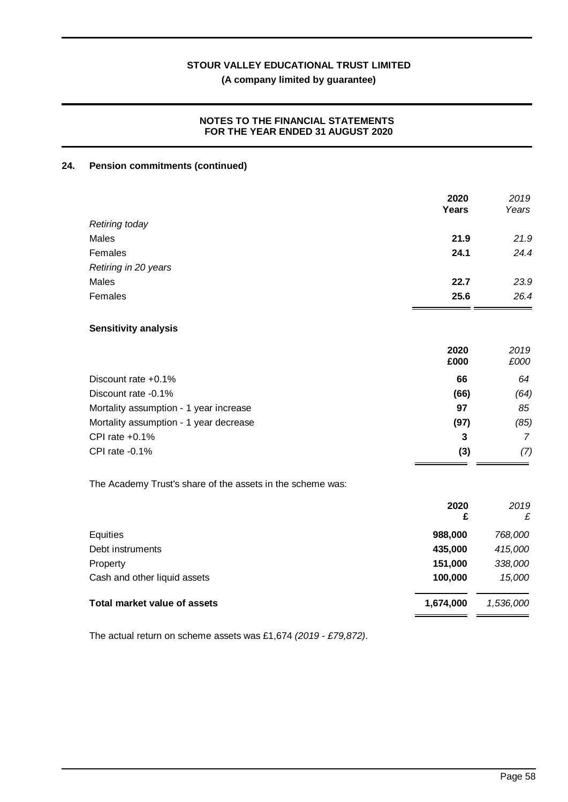## **(A company limited by guarantee)**

### **NOTES TO THE FINANCIAL STATEMENTS FOR THE YEAR ENDED 31 AUGUST 2020**

### **24. Pension commitments (continued)**

| 2020<br>Years | 2019<br>Years |
|---------------|---------------|
|               |               |
| 21.9          | 21.9          |
| 24.1          | 24.4          |
|               |               |
| 22.7          | 23.9          |
| 25.6          | 26.4          |
|               |               |
| 2020<br>£000  | 2019<br>£000  |
| 66            | 64            |
| (66)          | (64)          |
| 97            | 85            |
| (97)          | (85)          |
| 3             | 7             |
| (3)           | (7)           |
|               |               |

The Academy Trust's share of the assets in the scheme was:

|                              | 2020<br>£ | 2019<br>£ |
|------------------------------|-----------|-----------|
| Equities                     | 988,000   | 768,000   |
| Debt instruments             | 435,000   | 415,000   |
| Property                     | 151,000   | 338,000   |
| Cash and other liquid assets | 100,000   | 15,000    |
| Total market value of assets | 1,674,000 | 1,536,000 |
|                              |           |           |

The actual return on scheme assets was £1,674 *(2019 - £79,872)*.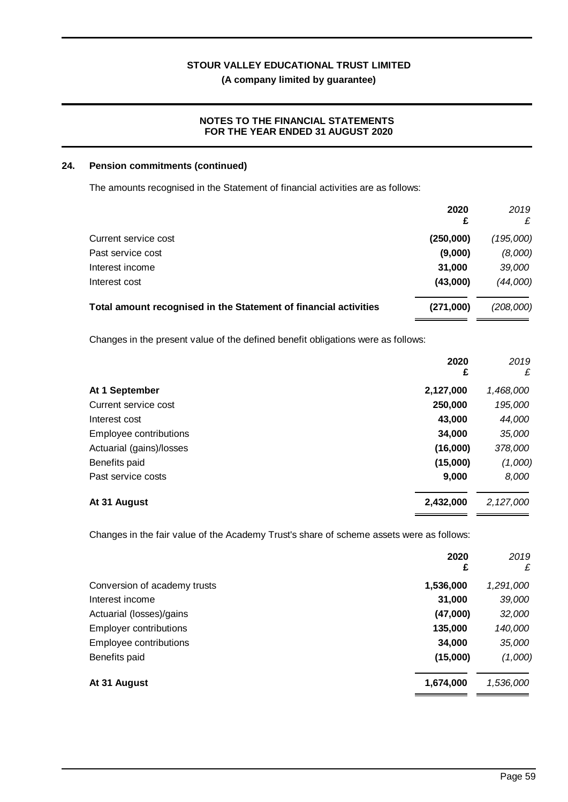## **(A company limited by guarantee)**

### **NOTES TO THE FINANCIAL STATEMENTS FOR THE YEAR ENDED 31 AUGUST 2020**

### **24. Pension commitments (continued)**

The amounts recognised in the Statement of financial activities are as follows:

|                                                                  | 2020<br>£ | 2019<br>£ |
|------------------------------------------------------------------|-----------|-----------|
| Current service cost                                             | (250,000) | (195,000) |
| Past service cost                                                | (9,000)   | (8,000)   |
| Interest income                                                  | 31,000    | 39,000    |
| Interest cost                                                    | (43,000)  | (44,000)  |
| Total amount recognised in the Statement of financial activities | (271,000) | (208,000) |

Changes in the present value of the defined benefit obligations were as follows:

|                          | 2020<br>£ | 2019<br>£ |
|--------------------------|-----------|-----------|
| At 1 September           | 2,127,000 | 1,468,000 |
| Current service cost     | 250,000   | 195,000   |
| Interest cost            | 43,000    | 44,000    |
| Employee contributions   | 34,000    | 35,000    |
| Actuarial (gains)/losses | (16,000)  | 378,000   |
| Benefits paid            | (15,000)  | (1,000)   |
| Past service costs       | 9,000     | 8,000     |
| At 31 August             | 2,432,000 | 2,127,000 |

Changes in the fair value of the Academy Trust's share of scheme assets were as follows:

|                               | 2020<br>£ | 2019<br>£ |
|-------------------------------|-----------|-----------|
| Conversion of academy trusts  | 1,536,000 | 1,291,000 |
| Interest income               | 31,000    | 39,000    |
| Actuarial (losses)/gains      | (47,000)  | 32,000    |
| <b>Employer contributions</b> | 135,000   | 140,000   |
| Employee contributions        | 34,000    | 35,000    |
| Benefits paid                 | (15,000)  | (1,000)   |
| At 31 August                  | 1,674,000 | 1,536,000 |